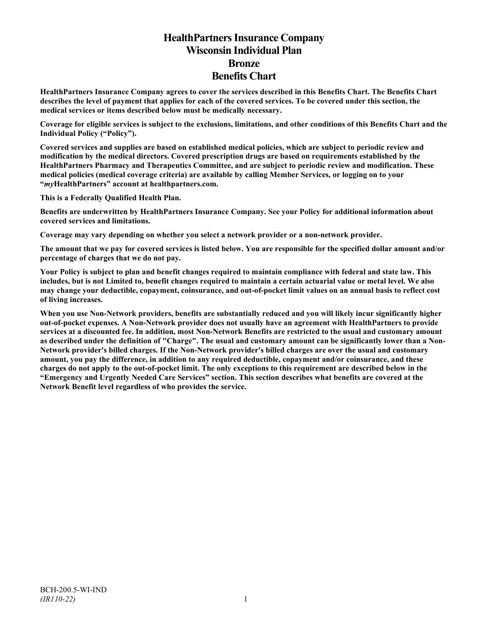# **HealthPartners Insurance Company Wisconsin Individual Plan Bronze Benefits Chart**

**HealthPartners Insurance Company agrees to cover the services described in this Benefits Chart. The Benefits Chart describes the level of payment that applies for each of the covered services. To be covered under this section, the medical services or items described below must be medically necessary.**

**Coverage for eligible services is subject to the exclusions, limitations, and other conditions of this Benefits Chart and the Individual Policy ("Policy").**

**Covered services and supplies are based on established medical policies, which are subject to periodic review and modification by the medical directors. Covered prescription drugs are based on requirements established by the HealthPartners Pharmacy and Therapeutics Committee, and are subject to periodic review and modification. These medical policies (medical coverage criteria) are available by calling Member Services, or logging on to your "***my***HealthPartners" account at [healthpartners.com.](http://www.healthpartners.com/)**

**This is a Federally Qualified Health Plan.**

**Benefits are underwritten by HealthPartners Insurance Company. See your Policy for additional information about covered services and limitations.**

**Coverage may vary depending on whether you select a network provider or a non-network provider.**

**The amount that we pay for covered services is listed below. You are responsible for the specified dollar amount and/or percentage of charges that we do not pay.**

**Your Policy is subject to plan and benefit changes required to maintain compliance with federal and state law. This includes, but is not Limited to, benefit changes required to maintain a certain actuarial value or metal level. We also may change your deductible, copayment, coinsurance, and out-of-pocket limit values on an annual basis to reflect cost of living increases.**

**When you use Non-Network providers, benefits are substantially reduced and you will likely incur significantly higher out-of-pocket expenses. A Non-Network provider does not usually have an agreement with HealthPartners to provide services at a discounted fee. In addition, most Non-Network Benefits are restricted to the usual and customary amount as described under the definition of "Charge". The usual and customary amount can be significantly lower than a Non-Network provider's billed charges. If the Non-Network provider's billed charges are over the usual and customary amount, you pay the difference, in addition to any required deductible, copayment and/or coinsurance, and these charges do not apply to the out-of-pocket limit. The only exceptions to this requirement are described below in the "Emergency and Urgently Needed Care Services" section. This section describes what benefits are covered at the Network Benefit level regardless of who provides the service.**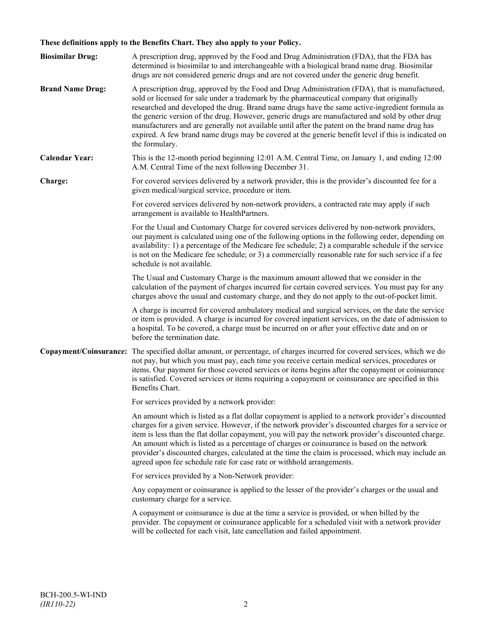## **These definitions apply to the Benefits Chart. They also apply to your Policy.**

| <b>Biosimilar Drug:</b> | A prescription drug, approved by the Food and Drug Administration (FDA), that the FDA has<br>determined is biosimilar to and interchangeable with a biological brand name drug. Biosimilar<br>drugs are not considered generic drugs and are not covered under the generic drug benefit.                                                                                                                                                                                                                                                                                                                                     |
|-------------------------|------------------------------------------------------------------------------------------------------------------------------------------------------------------------------------------------------------------------------------------------------------------------------------------------------------------------------------------------------------------------------------------------------------------------------------------------------------------------------------------------------------------------------------------------------------------------------------------------------------------------------|
| <b>Brand Name Drug:</b> | A prescription drug, approved by the Food and Drug Administration (FDA), that is manufactured,<br>sold or licensed for sale under a trademark by the pharmaceutical company that originally<br>researched and developed the drug. Brand name drugs have the same active-ingredient formula as<br>the generic version of the drug. However, generic drugs are manufactured and sold by other drug<br>manufacturers and are generally not available until after the patent on the brand name drug has<br>expired. A few brand name drugs may be covered at the generic benefit level if this is indicated on<br>the formulary. |
| <b>Calendar Year:</b>   | This is the 12-month period beginning 12:01 A.M. Central Time, on January 1, and ending 12:00<br>A.M. Central Time of the next following December 31.                                                                                                                                                                                                                                                                                                                                                                                                                                                                        |
| Charge:                 | For covered services delivered by a network provider, this is the provider's discounted fee for a<br>given medical/surgical service, procedure or item.                                                                                                                                                                                                                                                                                                                                                                                                                                                                      |
|                         | For covered services delivered by non-network providers, a contracted rate may apply if such<br>arrangement is available to HealthPartners.                                                                                                                                                                                                                                                                                                                                                                                                                                                                                  |
|                         | For the Usual and Customary Charge for covered services delivered by non-network providers,<br>our payment is calculated using one of the following options in the following order, depending on<br>availability: 1) a percentage of the Medicare fee schedule; 2) a comparable schedule if the service<br>is not on the Medicare fee schedule; or 3) a commercially reasonable rate for such service if a fee<br>schedule is not available.                                                                                                                                                                                 |
|                         | The Usual and Customary Charge is the maximum amount allowed that we consider in the<br>calculation of the payment of charges incurred for certain covered services. You must pay for any<br>charges above the usual and customary charge, and they do not apply to the out-of-pocket limit.                                                                                                                                                                                                                                                                                                                                 |
|                         | A charge is incurred for covered ambulatory medical and surgical services, on the date the service<br>or item is provided. A charge is incurred for covered inpatient services, on the date of admission to<br>a hospital. To be covered, a charge must be incurred on or after your effective date and on or<br>before the termination date.                                                                                                                                                                                                                                                                                |
|                         | Copayment/Coinsurance: The specified dollar amount, or percentage, of charges incurred for covered services, which we do<br>not pay, but which you must pay, each time you receive certain medical services, procedures or<br>items. Our payment for those covered services or items begins after the copayment or coinsurance<br>is satisfied. Covered services or items requiring a copayment or coinsurance are specified in this<br>Benefits Chart.                                                                                                                                                                      |
|                         | For services provided by a network provider:                                                                                                                                                                                                                                                                                                                                                                                                                                                                                                                                                                                 |
|                         | An amount which is listed as a flat dollar copayment is applied to a network provider's discounted<br>charges for a given service. However, if the network provider's discounted charges for a service or<br>item is less than the flat dollar copayment, you will pay the network provider's discounted charge.<br>An amount which is listed as a percentage of charges or coinsurance is based on the network<br>provider's discounted charges, calculated at the time the claim is processed, which may include an<br>agreed upon fee schedule rate for case rate or withhold arrangements.                               |
|                         | For services provided by a Non-Network provider:                                                                                                                                                                                                                                                                                                                                                                                                                                                                                                                                                                             |
|                         | Any copayment or coinsurance is applied to the lesser of the provider's charges or the usual and<br>customary charge for a service.                                                                                                                                                                                                                                                                                                                                                                                                                                                                                          |
|                         | A copayment or coinsurance is due at the time a service is provided, or when billed by the<br>provider. The copayment or coinsurance applicable for a scheduled visit with a network provider<br>will be collected for each visit, late cancellation and failed appointment.                                                                                                                                                                                                                                                                                                                                                 |
|                         |                                                                                                                                                                                                                                                                                                                                                                                                                                                                                                                                                                                                                              |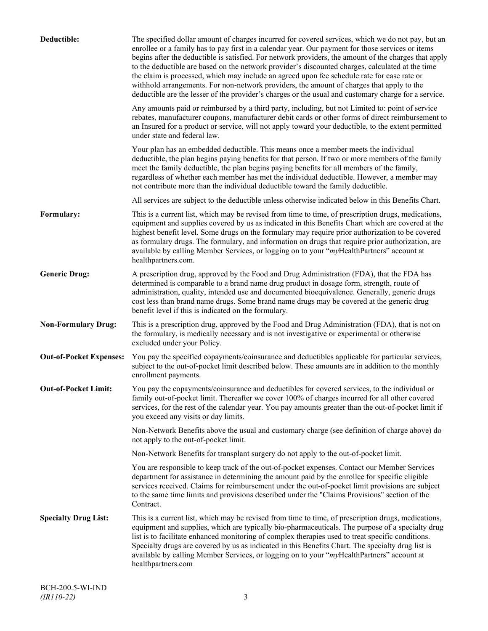| Deductible:                    | The specified dollar amount of charges incurred for covered services, which we do not pay, but an<br>enrollee or a family has to pay first in a calendar year. Our payment for those services or items<br>begins after the deductible is satisfied. For network providers, the amount of the charges that apply<br>to the deductible are based on the network provider's discounted charges, calculated at the time<br>the claim is processed, which may include an agreed upon fee schedule rate for case rate or<br>withhold arrangements. For non-network providers, the amount of charges that apply to the<br>deductible are the lesser of the provider's charges or the usual and customary charge for a service. |
|--------------------------------|-------------------------------------------------------------------------------------------------------------------------------------------------------------------------------------------------------------------------------------------------------------------------------------------------------------------------------------------------------------------------------------------------------------------------------------------------------------------------------------------------------------------------------------------------------------------------------------------------------------------------------------------------------------------------------------------------------------------------|
|                                | Any amounts paid or reimbursed by a third party, including, but not Limited to: point of service<br>rebates, manufacturer coupons, manufacturer debit cards or other forms of direct reimbursement to<br>an Insured for a product or service, will not apply toward your deductible, to the extent permitted<br>under state and federal law.                                                                                                                                                                                                                                                                                                                                                                            |
|                                | Your plan has an embedded deductible. This means once a member meets the individual<br>deductible, the plan begins paying benefits for that person. If two or more members of the family<br>meet the family deductible, the plan begins paying benefits for all members of the family,<br>regardless of whether each member has met the individual deductible. However, a member may<br>not contribute more than the individual deductible toward the family deductible.                                                                                                                                                                                                                                                |
|                                | All services are subject to the deductible unless otherwise indicated below in this Benefits Chart.                                                                                                                                                                                                                                                                                                                                                                                                                                                                                                                                                                                                                     |
| Formulary:                     | This is a current list, which may be revised from time to time, of prescription drugs, medications,<br>equipment and supplies covered by us as indicated in this Benefits Chart which are covered at the<br>highest benefit level. Some drugs on the formulary may require prior authorization to be covered<br>as formulary drugs. The formulary, and information on drugs that require prior authorization, are<br>available by calling Member Services, or logging on to your "myHealthPartners" account at<br>healthpartners.com.                                                                                                                                                                                   |
| <b>Generic Drug:</b>           | A prescription drug, approved by the Food and Drug Administration (FDA), that the FDA has<br>determined is comparable to a brand name drug product in dosage form, strength, route of<br>administration, quality, intended use and documented bioequivalence. Generally, generic drugs<br>cost less than brand name drugs. Some brand name drugs may be covered at the generic drug<br>benefit level if this is indicated on the formulary.                                                                                                                                                                                                                                                                             |
| <b>Non-Formulary Drug:</b>     | This is a prescription drug, approved by the Food and Drug Administration (FDA), that is not on<br>the formulary, is medically necessary and is not investigative or experimental or otherwise<br>excluded under your Policy.                                                                                                                                                                                                                                                                                                                                                                                                                                                                                           |
| <b>Out-of-Pocket Expenses:</b> | You pay the specified copayments/coinsurance and deductibles applicable for particular services,<br>subject to the out-of-pocket limit described below. These amounts are in addition to the monthly<br>enrollment payments.                                                                                                                                                                                                                                                                                                                                                                                                                                                                                            |
| <b>Out-of-Pocket Limit:</b>    | You pay the copayments/coinsurance and deductibles for covered services, to the individual or<br>family out-of-pocket limit. Thereafter we cover 100% of charges incurred for all other covered<br>services, for the rest of the calendar year. You pay amounts greater than the out-of-pocket limit if<br>you exceed any visits or day limits.                                                                                                                                                                                                                                                                                                                                                                         |
|                                | Non-Network Benefits above the usual and customary charge (see definition of charge above) do<br>not apply to the out-of-pocket limit.                                                                                                                                                                                                                                                                                                                                                                                                                                                                                                                                                                                  |
|                                | Non-Network Benefits for transplant surgery do not apply to the out-of-pocket limit.                                                                                                                                                                                                                                                                                                                                                                                                                                                                                                                                                                                                                                    |
|                                | You are responsible to keep track of the out-of-pocket expenses. Contact our Member Services<br>department for assistance in determining the amount paid by the enrollee for specific eligible<br>services received. Claims for reimbursement under the out-of-pocket limit provisions are subject<br>to the same time limits and provisions described under the "Claims Provisions" section of the<br>Contract.                                                                                                                                                                                                                                                                                                        |
| <b>Specialty Drug List:</b>    | This is a current list, which may be revised from time to time, of prescription drugs, medications,<br>equipment and supplies, which are typically bio-pharmaceuticals. The purpose of a specialty drug<br>list is to facilitate enhanced monitoring of complex therapies used to treat specific conditions.<br>Specialty drugs are covered by us as indicated in this Benefits Chart. The specialty drug list is<br>available by calling Member Services, or logging on to your "myHealthPartners" account at<br>healthpartners.com                                                                                                                                                                                    |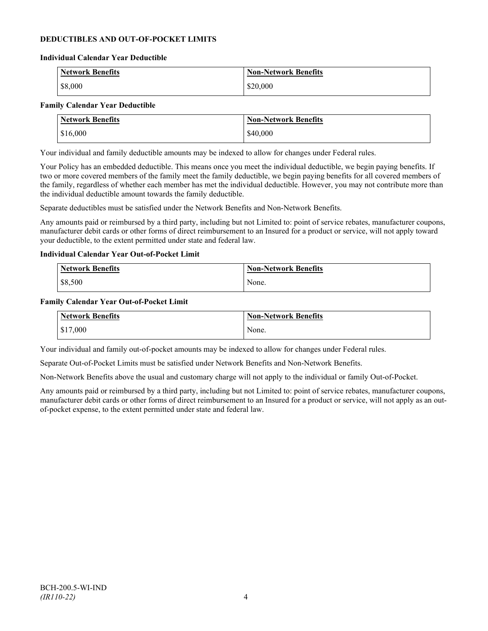## **DEDUCTIBLES AND OUT-OF-POCKET LIMITS**

#### **Individual Calendar Year Deductible**

| <b>Network Benefits</b> | <b>Non-Network Benefits</b> |
|-------------------------|-----------------------------|
| \$8,000                 | \$20,000                    |

#### **Family Calendar Year Deductible**

| <b>Network Benefits</b> | <b>Non-Network Benefits</b> |
|-------------------------|-----------------------------|
| \$16,000                | \$40,000                    |

Your individual and family deductible amounts may be indexed to allow for changes under Federal rules.

Your Policy has an embedded deductible. This means once you meet the individual deductible, we begin paying benefits. If two or more covered members of the family meet the family deductible, we begin paying benefits for all covered members of the family, regardless of whether each member has met the individual deductible. However, you may not contribute more than the individual deductible amount towards the family deductible.

Separate deductibles must be satisfied under the Network Benefits and Non-Network Benefits.

Any amounts paid or reimbursed by a third party, including but not Limited to: point of service rebates, manufacturer coupons, manufacturer debit cards or other forms of direct reimbursement to an Insured for a product or service, will not apply toward your deductible, to the extent permitted under state and federal law.

### **Individual Calendar Year Out-of-Pocket Limit**

| Network Benefits | <b>Non-Network Benefits</b> |
|------------------|-----------------------------|
| \$8,500          | None.                       |

#### **Family Calendar Year Out-of-Pocket Limit**

| Network Benefits       | Non-Network Benefits |
|------------------------|----------------------|
| $\frac{1}{2}$ \$17,000 | None.                |

Your individual and family out-of-pocket amounts may be indexed to allow for changes under Federal rules.

Separate Out-of-Pocket Limits must be satisfied under Network Benefits and Non-Network Benefits.

Non-Network Benefits above the usual and customary charge will not apply to the individual or family Out-of-Pocket.

Any amounts paid or reimbursed by a third party, including but not Limited to: point of service rebates, manufacturer coupons, manufacturer debit cards or other forms of direct reimbursement to an Insured for a product or service, will not apply as an outof-pocket expense, to the extent permitted under state and federal law.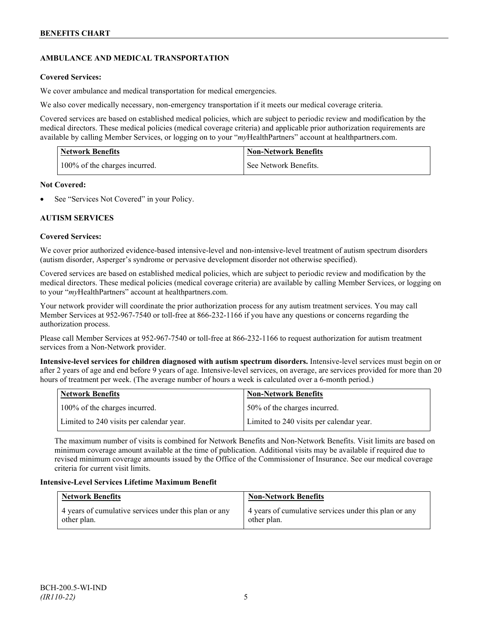## **AMBULANCE AND MEDICAL TRANSPORTATION**

## **Covered Services:**

We cover ambulance and medical transportation for medical emergencies.

We also cover medically necessary, non-emergency transportation if it meets our medical coverage criteria.

Covered services are based on established medical policies, which are subject to periodic review and modification by the medical directors. These medical policies (medical coverage criteria) and applicable prior authorization requirements are available by calling Member Services, or logging on to your "*my*HealthPartners" account a[t healthpartners.com.](http://www.healthpartners.com/)

| <b>Network Benefits</b>       | <b>Non-Network Benefits</b> |
|-------------------------------|-----------------------------|
| 100% of the charges incurred. | See Network Benefits.       |

### **Not Covered:**

See "Services Not Covered" in your Policy.

## **AUTISM SERVICES**

## **Covered Services:**

We cover prior authorized evidence-based intensive-level and non-intensive-level treatment of autism spectrum disorders (autism disorder, Asperger's syndrome or pervasive development disorder not otherwise specified).

Covered services are based on established medical policies, which are subject to periodic review and modification by the medical directors. These medical policies (medical coverage criteria) are available by calling Member Services, or logging on to your "*my*HealthPartners" account at [healthpartners.com.](http://www.healthpartners.com/)

Your network provider will coordinate the prior authorization process for any autism treatment services. You may call Member Services at 952-967-7540 or toll-free at 866-232-1166 if you have any questions or concerns regarding the authorization process.

Please call Member Services at 952-967-7540 or toll-free at 866-232-1166 to request authorization for autism treatment services from a Non-Network provider.

**Intensive-level services for children diagnosed with autism spectrum disorders.** Intensive-level services must begin on or after 2 years of age and end before 9 years of age. Intensive-level services, on average, are services provided for more than 20 hours of treatment per week. (The average number of hours a week is calculated over a 6-month period.)

| Network Benefits                         | <b>Non-Network Benefits</b>              |
|------------------------------------------|------------------------------------------|
| 100% of the charges incurred.            | 50% of the charges incurred.             |
| Limited to 240 visits per calendar year. | Limited to 240 visits per calendar year. |

The maximum number of visits is combined for Network Benefits and Non-Network Benefits. Visit limits are based on minimum coverage amount available at the time of publication. Additional visits may be available if required due to revised minimum coverage amounts issued by the Office of the Commissioner of Insurance. See our medical coverage criteria for current visit limits.

## **Intensive-Level Services Lifetime Maximum Benefit**

| <b>Network Benefits</b>                               | <b>Non-Network Benefits</b>                           |
|-------------------------------------------------------|-------------------------------------------------------|
| 4 years of cumulative services under this plan or any | 4 years of cumulative services under this plan or any |
| other plan.                                           | other plan.                                           |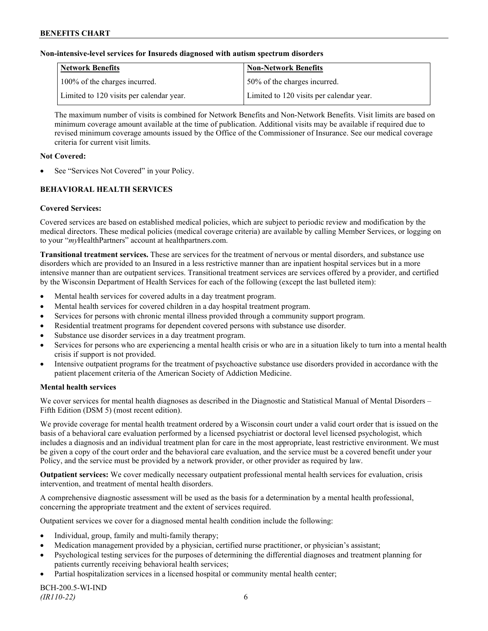### **Non-intensive-level services for Insureds diagnosed with autism spectrum disorders**

| Network Benefits                         | <b>Non-Network Benefits</b>              |
|------------------------------------------|------------------------------------------|
| 100% of the charges incurred.            | 50% of the charges incurred.             |
| Limited to 120 visits per calendar year. | Limited to 120 visits per calendar year. |

The maximum number of visits is combined for Network Benefits and Non-Network Benefits. Visit limits are based on minimum coverage amount available at the time of publication. Additional visits may be available if required due to revised minimum coverage amounts issued by the Office of the Commissioner of Insurance. See our medical coverage criteria for current visit limits.

### **Not Covered:**

See "Services Not Covered" in your Policy.

## **BEHAVIORAL HEALTH SERVICES**

### **Covered Services:**

Covered services are based on established medical policies, which are subject to periodic review and modification by the medical directors. These medical policies (medical coverage criteria) are available by calling Member Services, or logging on to your "*my*HealthPartners" account at [healthpartners.com.](http://www.healthpartners.com/)

**Transitional treatment services.** These are services for the treatment of nervous or mental disorders, and substance use disorders which are provided to an Insured in a less restrictive manner than are inpatient hospital services but in a more intensive manner than are outpatient services. Transitional treatment services are services offered by a provider, and certified by the Wisconsin Department of Health Services for each of the following (except the last bulleted item):

- Mental health services for covered adults in a day treatment program.
- Mental health services for covered children in a day hospital treatment program.
- Services for persons with chronic mental illness provided through a community support program.
- Residential treatment programs for dependent covered persons with substance use disorder.
- Substance use disorder services in a day treatment program.
- Services for persons who are experiencing a mental health crisis or who are in a situation likely to turn into a mental health crisis if support is not provided.
- Intensive outpatient programs for the treatment of psychoactive substance use disorders provided in accordance with the patient placement criteria of the American Society of Addiction Medicine.

#### **Mental health services**

We cover services for mental health diagnoses as described in the Diagnostic and Statistical Manual of Mental Disorders – Fifth Edition (DSM 5) (most recent edition).

We provide coverage for mental health treatment ordered by a Wisconsin court under a valid court order that is issued on the basis of a behavioral care evaluation performed by a licensed psychiatrist or doctoral level licensed psychologist, which includes a diagnosis and an individual treatment plan for care in the most appropriate, least restrictive environment. We must be given a copy of the court order and the behavioral care evaluation, and the service must be a covered benefit under your Policy, and the service must be provided by a network provider, or other provider as required by law.

**Outpatient services:** We cover medically necessary outpatient professional mental health services for evaluation, crisis intervention, and treatment of mental health disorders.

A comprehensive diagnostic assessment will be used as the basis for a determination by a mental health professional, concerning the appropriate treatment and the extent of services required.

Outpatient services we cover for a diagnosed mental health condition include the following:

- Individual, group, family and multi-family therapy;
- Medication management provided by a physician, certified nurse practitioner, or physician's assistant;
- Psychological testing services for the purposes of determining the differential diagnoses and treatment planning for patients currently receiving behavioral health services;
- Partial hospitalization services in a licensed hospital or community mental health center;

BCH-200.5-WI-IND *(IR110-22)* 6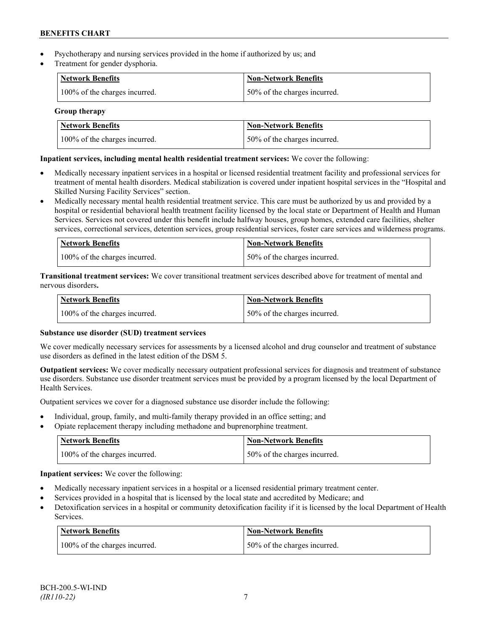- Psychotherapy and nursing services provided in the home if authorized by us; and
- Treatment for gender dysphoria.

| <b>Network Benefits</b>       | <b>Non-Network Benefits</b>  |
|-------------------------------|------------------------------|
| 100% of the charges incurred. | 50% of the charges incurred. |

## **Group therapy**

| <b>Network Benefits</b>       | <b>Non-Network Benefits</b>  |
|-------------------------------|------------------------------|
| 100% of the charges incurred. | 50% of the charges incurred. |

## **Inpatient services, including mental health residential treatment services:** We cover the following:

- Medically necessary inpatient services in a hospital or licensed residential treatment facility and professional services for treatment of mental health disorders. Medical stabilization is covered under inpatient hospital services in the "Hospital and Skilled Nursing Facility Services" section.
- Medically necessary mental health residential treatment service. This care must be authorized by us and provided by a hospital or residential behavioral health treatment facility licensed by the local state or Department of Health and Human Services. Services not covered under this benefit include halfway houses, group homes, extended care facilities, shelter services, correctional services, detention services, group residential services, foster care services and wilderness programs.

| Network Benefits              | <b>Non-Network Benefits</b>  |
|-------------------------------|------------------------------|
| 100% of the charges incurred. | 50% of the charges incurred. |

**Transitional treatment services:** We cover transitional treatment services described above for treatment of mental and nervous disorders**.**

| Network Benefits              | Non-Network Benefits         |
|-------------------------------|------------------------------|
| 100% of the charges incurred. | 50% of the charges incurred. |

## **Substance use disorder (SUD) treatment services**

We cover medically necessary services for assessments by a licensed alcohol and drug counselor and treatment of substance use disorders as defined in the latest edition of the DSM 5.

**Outpatient services:** We cover medically necessary outpatient professional services for diagnosis and treatment of substance use disorders. Substance use disorder treatment services must be provided by a program licensed by the local Department of Health Services.

Outpatient services we cover for a diagnosed substance use disorder include the following:

- Individual, group, family, and multi-family therapy provided in an office setting; and
- Opiate replacement therapy including methadone and buprenorphine treatment.

| <b>Network Benefits</b>       | <b>Non-Network Benefits</b>      |
|-------------------------------|----------------------------------|
| 100% of the charges incurred. | $150\%$ of the charges incurred. |

**Inpatient services:** We cover the following:

- Medically necessary inpatient services in a hospital or a licensed residential primary treatment center.
- Services provided in a hospital that is licensed by the local state and accredited by Medicare; and
- Detoxification services in a hospital or community detoxification facility if it is licensed by the local Department of Health Services.

| <b>Network Benefits</b>       | <b>Non-Network Benefits</b>  |
|-------------------------------|------------------------------|
| 100% of the charges incurred. | 50% of the charges incurred. |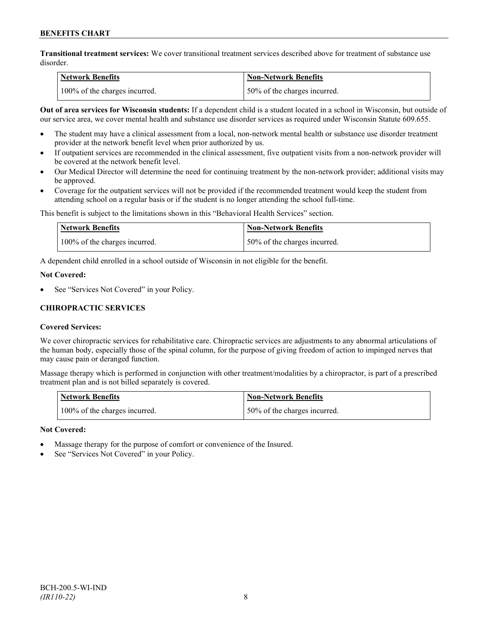**Transitional treatment services:** We cover transitional treatment services described above for treatment of substance use disorder.

| Network Benefits              | <b>Non-Network Benefits</b>  |
|-------------------------------|------------------------------|
| 100% of the charges incurred. | 50% of the charges incurred. |

**Out of area services for Wisconsin students:** If a dependent child is a student located in a school in Wisconsin, but outside of our service area, we cover mental health and substance use disorder services as required under Wisconsin Statute 609.655.

- The student may have a clinical assessment from a local, non-network mental health or substance use disorder treatment provider at the network benefit level when prior authorized by us.
- If outpatient services are recommended in the clinical assessment, five outpatient visits from a non-network provider will be covered at the network benefit level.
- Our Medical Director will determine the need for continuing treatment by the non-network provider; additional visits may be approved.
- Coverage for the outpatient services will not be provided if the recommended treatment would keep the student from attending school on a regular basis or if the student is no longer attending the school full-time.

This benefit is subject to the limitations shown in this "Behavioral Health Services" section.

| Network Benefits              | Non-Network Benefits         |
|-------------------------------|------------------------------|
| 100% of the charges incurred. | 50% of the charges incurred. |

A dependent child enrolled in a school outside of Wisconsin in not eligible for the benefit.

### **Not Covered:**

See "Services Not Covered" in your Policy.

## **CHIROPRACTIC SERVICES**

## **Covered Services:**

We cover chiropractic services for rehabilitative care. Chiropractic services are adjustments to any abnormal articulations of the human body, especially those of the spinal column, for the purpose of giving freedom of action to impinged nerves that may cause pain or deranged function.

Massage therapy which is performed in conjunction with other treatment/modalities by a chiropractor, is part of a prescribed treatment plan and is not billed separately is covered.

| <b>Network Benefits</b>       | Non-Network Benefits         |
|-------------------------------|------------------------------|
| 100% of the charges incurred. | 50% of the charges incurred. |

## **Not Covered:**

- Massage therapy for the purpose of comfort or convenience of the Insured.
- See "Services Not Covered" in your Policy.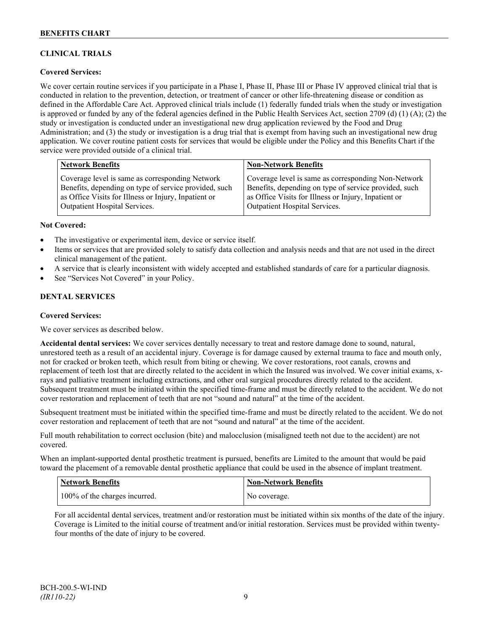## **CLINICAL TRIALS**

## **Covered Services:**

We cover certain routine services if you participate in a Phase I, Phase II, Phase III or Phase IV approved clinical trial that is conducted in relation to the prevention, detection, or treatment of cancer or other life-threatening disease or condition as defined in the Affordable Care Act. Approved clinical trials include (1) federally funded trials when the study or investigation is approved or funded by any of the federal agencies defined in the Public Health Services Act, section 2709 (d) (1) (A); (2) the study or investigation is conducted under an investigational new drug application reviewed by the Food and Drug Administration; and (3) the study or investigation is a drug trial that is exempt from having such an investigational new drug application. We cover routine patient costs for services that would be eligible under the Policy and this Benefits Chart if the service were provided outside of a clinical trial.

| <b>Network Benefits</b>                               | <b>Non-Network Benefits</b>                           |
|-------------------------------------------------------|-------------------------------------------------------|
| Coverage level is same as corresponding Network       | Coverage level is same as corresponding Non-Network   |
| Benefits, depending on type of service provided, such | Benefits, depending on type of service provided, such |
| as Office Visits for Illness or Injury, Inpatient or  | as Office Visits for Illness or Injury, Inpatient or  |
| <b>Outpatient Hospital Services.</b>                  | Outpatient Hospital Services.                         |

### **Not Covered:**

- The investigative or experimental item, device or service itself.
- Items or services that are provided solely to satisfy data collection and analysis needs and that are not used in the direct clinical management of the patient.
- A service that is clearly inconsistent with widely accepted and established standards of care for a particular diagnosis.
- See "Services Not Covered" in your Policy.

## **DENTAL SERVICES**

#### **Covered Services:**

We cover services as described below.

**Accidental dental services:** We cover services dentally necessary to treat and restore damage done to sound, natural, unrestored teeth as a result of an accidental injury. Coverage is for damage caused by external trauma to face and mouth only, not for cracked or broken teeth, which result from biting or chewing. We cover restorations, root canals, crowns and replacement of teeth lost that are directly related to the accident in which the Insured was involved. We cover initial exams, xrays and palliative treatment including extractions, and other oral surgical procedures directly related to the accident. Subsequent treatment must be initiated within the specified time-frame and must be directly related to the accident. We do not cover restoration and replacement of teeth that are not "sound and natural" at the time of the accident.

Subsequent treatment must be initiated within the specified time-frame and must be directly related to the accident. We do not cover restoration and replacement of teeth that are not "sound and natural" at the time of the accident.

Full mouth rehabilitation to correct occlusion (bite) and malocclusion (misaligned teeth not due to the accident) are not covered.

When an implant-supported dental prosthetic treatment is pursued, benefits are Limited to the amount that would be paid toward the placement of a removable dental prosthetic appliance that could be used in the absence of implant treatment.

| <b>Network Benefits</b>       | <b>Non-Network Benefits</b> |
|-------------------------------|-----------------------------|
| 100% of the charges incurred. | No coverage.                |

For all accidental dental services, treatment and/or restoration must be initiated within six months of the date of the injury. Coverage is Limited to the initial course of treatment and/or initial restoration. Services must be provided within twentyfour months of the date of injury to be covered.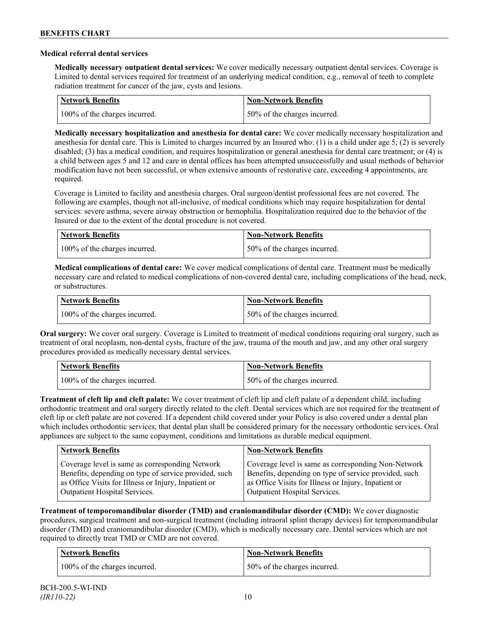### **Medical referral dental services**

**Medically necessary outpatient dental services:** We cover medically necessary outpatient dental services. Coverage is Limited to dental services required for treatment of an underlying medical condition, e.g., removal of teeth to complete radiation treatment for cancer of the jaw, cysts and lesions.

| Network Benefits              | <b>Non-Network Benefits</b>  |
|-------------------------------|------------------------------|
| 100% of the charges incurred. | 50% of the charges incurred. |

**Medically necessary hospitalization and anesthesia for dental care:** We cover medically necessary hospitalization and anesthesia for dental care. This is Limited to charges incurred by an Insured who: (1) is a child under age 5; (2) is severely disabled; (3) has a medical condition, and requires hospitalization or general anesthesia for dental care treatment; or (4) is a child between ages 5 and 12 and care in dental offices has been attempted unsuccessfully and usual methods of behavior modification have not been successful, or when extensive amounts of restorative care, exceeding 4 appointments, are required.

Coverage is Limited to facility and anesthesia charges. Oral surgeon/dentist professional fees are not covered. The following are examples, though not all-inclusive, of medical conditions which may require hospitalization for dental services: severe asthma, severe airway obstruction or hemophilia. Hospitalization required due to the behavior of the Insured or due to the extent of the dental procedure is not covered.

| Network Benefits              | <b>Non-Network Benefits</b>  |
|-------------------------------|------------------------------|
| 100% of the charges incurred. | 50% of the charges incurred. |

**Medical complications of dental care:** We cover medical complications of dental care. Treatment must be medically necessary care and related to medical complications of non-covered dental care, including complications of the head, neck, or substructures.

| Network Benefits              | <b>Non-Network Benefits</b>  |
|-------------------------------|------------------------------|
| 100% of the charges incurred. | 50% of the charges incurred. |

**Oral surgery:** We cover oral surgery. Coverage is Limited to treatment of medical conditions requiring oral surgery, such as treatment of oral neoplasm, non-dental cysts, fracture of the jaw, trauma of the mouth and jaw, and any other oral surgery procedures provided as medically necessary dental services.

| <b>Network Benefits</b>       | <b>Non-Network Benefits</b>  |
|-------------------------------|------------------------------|
| 100% of the charges incurred. | 50% of the charges incurred. |

**Treatment of cleft lip and cleft palate:** We cover treatment of cleft lip and cleft palate of a dependent child, including orthodontic treatment and oral surgery directly related to the cleft. Dental services which are not required for the treatment of cleft lip or cleft palate are not covered. If a dependent child covered under your Policy is also covered under a dental plan which includes orthodontic services, that dental plan shall be considered primary for the necessary orthodontic services. Oral appliances are subject to the same copayment, conditions and limitations as durable medical equipment.

| <b>Network Benefits</b>                               | <b>Non-Network Benefits</b>                           |
|-------------------------------------------------------|-------------------------------------------------------|
| Coverage level is same as corresponding Network       | Coverage level is same as corresponding Non-Network   |
| Benefits, depending on type of service provided, such | Benefits, depending on type of service provided, such |
| as Office Visits for Illness or Injury, Inpatient or  | as Office Visits for Illness or Injury, Inpatient or  |
| Outpatient Hospital Services.                         | Outpatient Hospital Services.                         |

**Treatment of temporomandibular disorder (TMD) and craniomandibular disorder (CMD):** We cover diagnostic procedures, surgical treatment and non-surgical treatment (including intraoral splint therapy devices) for temporomandibular disorder (TMD) and craniomandibular disorder (CMD), which is medically necessary care. Dental services which are not required to directly treat TMD or CMD are not covered.

| <b>Network Benefits</b>       | <b>Non-Network Benefits</b>  |
|-------------------------------|------------------------------|
| 100% of the charges incurred. | 50% of the charges incurred. |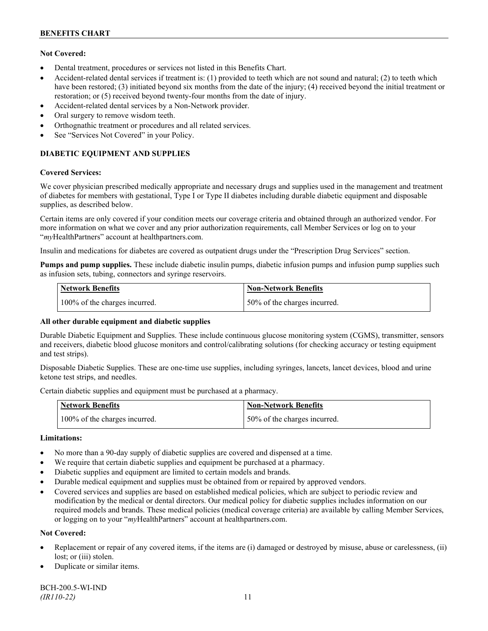## **Not Covered:**

- Dental treatment, procedures or services not listed in this Benefits Chart.
- Accident-related dental services if treatment is: (1) provided to teeth which are not sound and natural; (2) to teeth which have been restored; (3) initiated beyond six months from the date of the injury; (4) received beyond the initial treatment or restoration; or (5) received beyond twenty-four months from the date of injury.
- Accident-related dental services by a Non-Network provider.
- Oral surgery to remove wisdom teeth.
- Orthognathic treatment or procedures and all related services.
- See "Services Not Covered" in your Policy.

## **DIABETIC EQUIPMENT AND SUPPLIES**

### **Covered Services:**

We cover physician prescribed medically appropriate and necessary drugs and supplies used in the management and treatment of diabetes for members with gestational, Type I or Type II diabetes including durable diabetic equipment and disposable supplies, as described below.

Certain items are only covered if your condition meets our coverage criteria and obtained through an authorized vendor. For more information on what we cover and any prior authorization requirements, call Member Services or log on to your "*my*HealthPartners" account at [healthpartners.com.](http://www.healthpartners.com/)

Insulin and medications for diabetes are covered as outpatient drugs under the "Prescription Drug Services" section.

**Pumps and pump supplies.** These include diabetic insulin pumps, diabetic infusion pumps and infusion pump supplies such as infusion sets, tubing, connectors and syringe reservoirs.

| <b>Network Benefits</b>       | <b>Non-Network Benefits</b>  |
|-------------------------------|------------------------------|
| 100% of the charges incurred. | 50% of the charges incurred. |

## **All other durable equipment and diabetic supplies**

Durable Diabetic Equipment and Supplies. These include continuous glucose monitoring system (CGMS), transmitter, sensors and receivers, diabetic blood glucose monitors and control/calibrating solutions (for checking accuracy or testing equipment and test strips).

Disposable Diabetic Supplies. These are one-time use supplies, including syringes, lancets, lancet devices, blood and urine ketone test strips, and needles.

Certain diabetic supplies and equipment must be purchased at a pharmacy.

| <b>Network Benefits</b>       | <b>Non-Network Benefits</b>  |
|-------------------------------|------------------------------|
| 100% of the charges incurred. | 50% of the charges incurred. |

## **Limitations:**

- No more than a 90-day supply of diabetic supplies are covered and dispensed at a time.
- We require that certain diabetic supplies and equipment be purchased at a pharmacy.
- Diabetic supplies and equipment are limited to certain models and brands.
- Durable medical equipment and supplies must be obtained from or repaired by approved vendors.
- Covered services and supplies are based on established medical policies, which are subject to periodic review and modification by the medical or dental directors. Our medical policy for diabetic supplies includes information on our required models and brands. These medical policies (medical coverage criteria) are available by calling Member Services, or logging on to your "*my*HealthPartners" account at healthpartners.com.

## **Not Covered:**

- Replacement or repair of any covered items, if the items are (i) damaged or destroyed by misuse, abuse or carelessness, (ii) lost; or (iii) stolen.
- Duplicate or similar items.

BCH-200.5-WI-IND *(IR110-22)* 11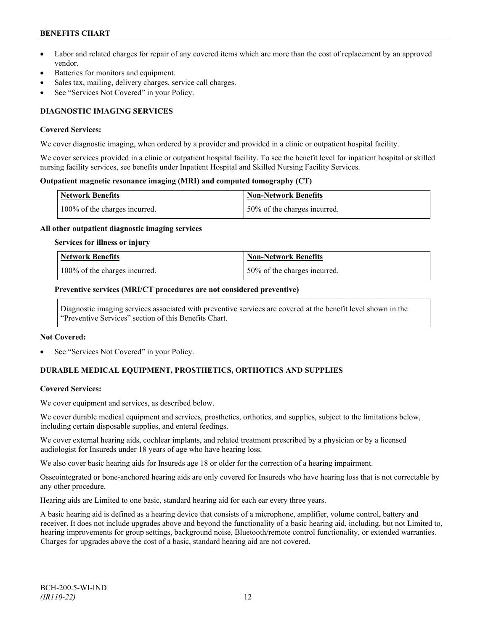## **BENEFITS CHART**

- Labor and related charges for repair of any covered items which are more than the cost of replacement by an approved vendor.
- Batteries for monitors and equipment.
- Sales tax, mailing, delivery charges, service call charges.
- See "Services Not Covered" in your Policy.

## **DIAGNOSTIC IMAGING SERVICES**

### **Covered Services:**

We cover diagnostic imaging, when ordered by a provider and provided in a clinic or outpatient hospital facility.

We cover services provided in a clinic or outpatient hospital facility. To see the benefit level for inpatient hospital or skilled nursing facility services, see benefits under Inpatient Hospital and Skilled Nursing Facility Services.

### **Outpatient magnetic resonance imaging (MRI) and computed tomography (CT)**

| <b>Network Benefits</b>       | Non-Network Benefits         |
|-------------------------------|------------------------------|
| 100% of the charges incurred. | 50% of the charges incurred. |

### **All other outpatient diagnostic imaging services**

#### **Services for illness or injury**

| Network Benefits              | Non-Network Benefits         |
|-------------------------------|------------------------------|
| 100% of the charges incurred. | 50% of the charges incurred. |

### **Preventive services (MRI/CT procedures are not considered preventive)**

Diagnostic imaging services associated with preventive services are covered at the benefit level shown in the "Preventive Services" section of this Benefits Chart.

#### **Not Covered:**

See "Services Not Covered" in your Policy.

## **DURABLE MEDICAL EQUIPMENT, PROSTHETICS, ORTHOTICS AND SUPPLIES**

## **Covered Services:**

We cover equipment and services, as described below.

We cover durable medical equipment and services, prosthetics, orthotics, and supplies, subject to the limitations below, including certain disposable supplies, and enteral feedings.

We cover external hearing aids, cochlear implants, and related treatment prescribed by a physician or by a licensed audiologist for Insureds under 18 years of age who have hearing loss.

We also cover basic hearing aids for Insureds age 18 or older for the correction of a hearing impairment.

Osseointegrated or bone-anchored hearing aids are only covered for Insureds who have hearing loss that is not correctable by any other procedure.

Hearing aids are Limited to one basic, standard hearing aid for each ear every three years.

A basic hearing aid is defined as a hearing device that consists of a microphone, amplifier, volume control, battery and receiver. It does not include upgrades above and beyond the functionality of a basic hearing aid, including, but not Limited to, hearing improvements for group settings, background noise, Bluetooth/remote control functionality, or extended warranties. Charges for upgrades above the cost of a basic, standard hearing aid are not covered.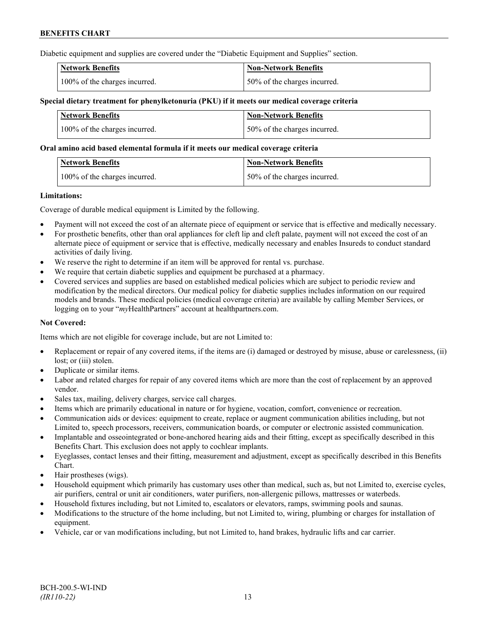Diabetic equipment and supplies are covered under the "Diabetic Equipment and Supplies" section.

| <b>Network Benefits</b>       | <b>Non-Network Benefits</b>  |
|-------------------------------|------------------------------|
| 100% of the charges incurred. | 50% of the charges incurred. |

### **Special dietary treatment for phenylketonuria (PKU) if it meets our medical coverage criteria**

| <b>Network Benefits</b>       | <b>Non-Network Benefits</b>  |
|-------------------------------|------------------------------|
| 100% of the charges incurred. | 50% of the charges incurred. |

#### **Oral amino acid based elemental formula if it meets our medical coverage criteria**

| Network Benefits              | <b>Non-Network Benefits</b>  |
|-------------------------------|------------------------------|
| 100% of the charges incurred. | 50% of the charges incurred. |

### **Limitations:**

Coverage of durable medical equipment is Limited by the following.

- Payment will not exceed the cost of an alternate piece of equipment or service that is effective and medically necessary.
- For prosthetic benefits, other than oral appliances for cleft lip and cleft palate, payment will not exceed the cost of an alternate piece of equipment or service that is effective, medically necessary and enables Insureds to conduct standard activities of daily living.
- We reserve the right to determine if an item will be approved for rental vs. purchase.
- We require that certain diabetic supplies and equipment be purchased at a pharmacy.
- Covered services and supplies are based on established medical policies which are subject to periodic review and modification by the medical directors. Our medical policy for diabetic supplies includes information on our required models and brands. These medical policies (medical coverage criteria) are available by calling Member Services, or logging on to your "*my*HealthPartners" account at [healthpartners.com.](http://www.healthpartners.com/)

## **Not Covered:**

Items which are not eligible for coverage include, but are not Limited to:

- Replacement or repair of any covered items, if the items are (i) damaged or destroyed by misuse, abuse or carelessness, (ii) lost; or (iii) stolen.
- Duplicate or similar items.
- Labor and related charges for repair of any covered items which are more than the cost of replacement by an approved vendor.
- Sales tax, mailing, delivery charges, service call charges.
- Items which are primarily educational in nature or for hygiene, vocation, comfort, convenience or recreation.
- Communication aids or devices: equipment to create, replace or augment communication abilities including, but not Limited to, speech processors, receivers, communication boards, or computer or electronic assisted communication.
- Implantable and osseointegrated or bone-anchored hearing aids and their fitting, except as specifically described in this Benefits Chart. This exclusion does not apply to cochlear implants.
- Eyeglasses, contact lenses and their fitting, measurement and adjustment, except as specifically described in this Benefits Chart.
- Hair prostheses (wigs).
- Household equipment which primarily has customary uses other than medical, such as, but not Limited to, exercise cycles, air purifiers, central or unit air conditioners, water purifiers, non-allergenic pillows, mattresses or waterbeds.
- Household fixtures including, but not Limited to, escalators or elevators, ramps, swimming pools and saunas.
- Modifications to the structure of the home including, but not Limited to, wiring, plumbing or charges for installation of equipment.
- Vehicle, car or van modifications including, but not Limited to, hand brakes, hydraulic lifts and car carrier.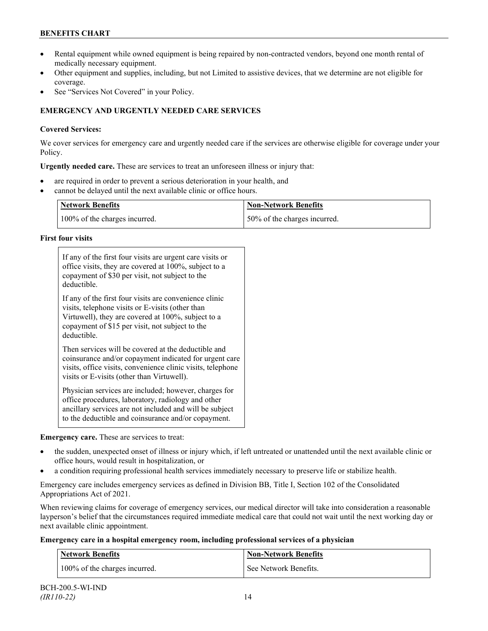## **BENEFITS CHART**

- Rental equipment while owned equipment is being repaired by non-contracted vendors, beyond one month rental of medically necessary equipment.
- Other equipment and supplies, including, but not Limited to assistive devices, that we determine are not eligible for coverage.
- See "Services Not Covered" in your Policy.

## **EMERGENCY AND URGENTLY NEEDED CARE SERVICES**

## **Covered Services:**

We cover services for emergency care and urgently needed care if the services are otherwise eligible for coverage under your Policy.

**Urgently needed care.** These are services to treat an unforeseen illness or injury that:

- are required in order to prevent a serious deterioration in your health, and
- cannot be delayed until the next available clinic or office hours.

| <b>Network Benefits</b>       | <b>Non-Network Benefits</b>  |
|-------------------------------|------------------------------|
| 100% of the charges incurred. | 50% of the charges incurred. |

## **First four visits**

| If any of the first four visits are urgent care visits or<br>office visits, they are covered at 100%, subject to a<br>copayment of \$30 per visit, not subject to the<br>deductible.                                               |  |
|------------------------------------------------------------------------------------------------------------------------------------------------------------------------------------------------------------------------------------|--|
| If any of the first four visits are convenience clinic<br>visits, telephone visits or E-visits (other than<br>Virtuwell), they are covered at 100%, subject to a<br>copayment of \$15 per visit, not subject to the<br>deductible. |  |
| Then services will be covered at the deductible and<br>coinsurance and/or copayment indicated for urgent care<br>visits, office visits, convenience clinic visits, telephone<br>visits or E-visits (other than Virtuwell).         |  |
| Physician services are included; however, charges for<br>office procedures, laboratory, radiology and other<br>ancillary services are not included and will be subject<br>to the deductible and coinsurance and/or copayment.      |  |

**Emergency care.** These are services to treat:

- the sudden, unexpected onset of illness or injury which, if left untreated or unattended until the next available clinic or office hours, would result in hospitalization, or
- a condition requiring professional health services immediately necessary to preserve life or stabilize health.

Emergency care includes emergency services as defined in Division BB, Title I, Section 102 of the Consolidated Appropriations Act of 2021.

When reviewing claims for coverage of emergency services, our medical director will take into consideration a reasonable layperson's belief that the circumstances required immediate medical care that could not wait until the next working day or next available clinic appointment.

**Emergency care in a hospital emergency room, including professional services of a physician**

| <b>Network Benefits</b>       | <b>Non-Network Benefits</b> |
|-------------------------------|-----------------------------|
| 100% of the charges incurred. | See Network Benefits.       |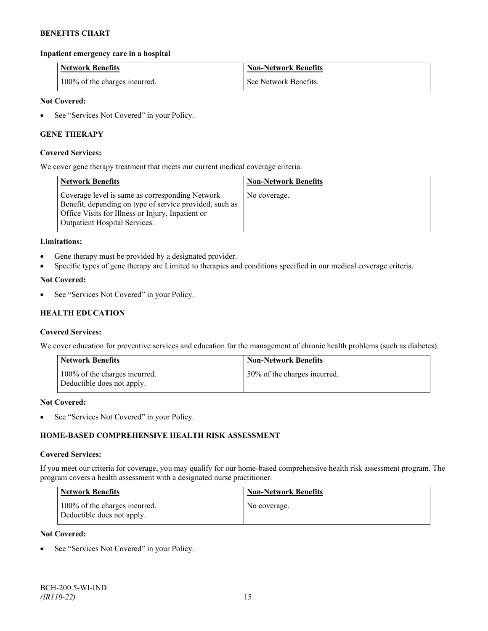## **Inpatient emergency care in a hospital**

| <b>Network Benefits</b>       | <b>Non-Network Benefits</b> |
|-------------------------------|-----------------------------|
| 100% of the charges incurred. | See Network Benefits.       |

### **Not Covered:**

• See "Services Not Covered" in your Policy.

## **GENE THERAPY**

### **Covered Services:**

We cover gene therapy treatment that meets our current medical coverage criteria.

| <b>Network Benefits</b>                                                                                                                                                                          | <b>Non-Network Benefits</b> |
|--------------------------------------------------------------------------------------------------------------------------------------------------------------------------------------------------|-----------------------------|
| Coverage level is same as corresponding Network<br>Benefit, depending on type of service provided, such as<br>Office Visits for Illness or Injury, Inpatient or<br>Outpatient Hospital Services. | No coverage.                |

#### **Limitations:**

- Gene therapy must be provided by a designated provider.
- Specific types of gene therapy are Limited to therapies and conditions specified in our medical coverage criteria.

### **Not Covered:**

See "Services Not Covered" in your Policy.

## **HEALTH EDUCATION**

#### **Covered Services:**

We cover education for preventive services and education for the management of chronic health problems (such as diabetes).

| <b>Network Benefits</b>                                     | <b>Non-Network Benefits</b>  |
|-------------------------------------------------------------|------------------------------|
| 100% of the charges incurred.<br>Deductible does not apply. | 50% of the charges incurred. |

#### **Not Covered:**

• See "Services Not Covered" in your Policy.

## **HOME-BASED COMPREHENSIVE HEALTH RISK ASSESSMENT**

#### **Covered Services:**

If you meet our criteria for coverage, you may qualify for our home-based comprehensive health risk assessment program. The program covers a health assessment with a designated nurse practitioner.

| <b>Network Benefits</b>                                     | <b>Non-Network Benefits</b> |
|-------------------------------------------------------------|-----------------------------|
| 100% of the charges incurred.<br>Deductible does not apply. | No coverage.                |

#### **Not Covered:**

See "Services Not Covered" in your Policy.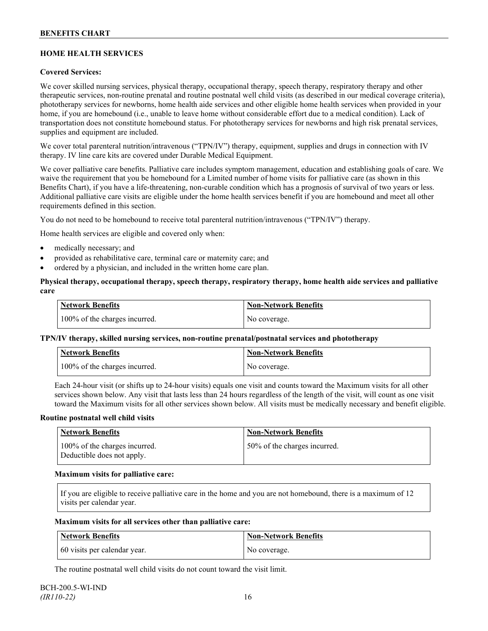## **HOME HEALTH SERVICES**

## **Covered Services:**

We cover skilled nursing services, physical therapy, occupational therapy, speech therapy, respiratory therapy and other therapeutic services, non-routine prenatal and routine postnatal well child visits (as described in our medical coverage criteria), phototherapy services for newborns, home health aide services and other eligible home health services when provided in your home, if you are homebound (i.e., unable to leave home without considerable effort due to a medical condition). Lack of transportation does not constitute homebound status. For phototherapy services for newborns and high risk prenatal services, supplies and equipment are included.

We cover total parenteral nutrition/intravenous ("TPN/IV") therapy, equipment, supplies and drugs in connection with IV therapy. IV line care kits are covered under Durable Medical Equipment.

We cover palliative care benefits. Palliative care includes symptom management, education and establishing goals of care. We waive the requirement that you be homebound for a Limited number of home visits for palliative care (as shown in this Benefits Chart), if you have a life-threatening, non-curable condition which has a prognosis of survival of two years or less. Additional palliative care visits are eligible under the home health services benefit if you are homebound and meet all other requirements defined in this section.

You do not need to be homebound to receive total parenteral nutrition/intravenous ("TPN/IV") therapy.

Home health services are eligible and covered only when:

- medically necessary; and
- provided as rehabilitative care, terminal care or maternity care; and
- ordered by a physician, and included in the written home care plan.

### **Physical therapy, occupational therapy, speech therapy, respiratory therapy, home health aide services and palliative care**

| <b>Network Benefits</b>       | <b>Non-Network Benefits</b> |
|-------------------------------|-----------------------------|
| 100% of the charges incurred. | No coverage.                |

## **TPN/IV therapy, skilled nursing services, non-routine prenatal/postnatal services and phototherapy**

| <b>Network Benefits</b>       | <b>Non-Network Benefits</b> |
|-------------------------------|-----------------------------|
| 100% of the charges incurred. | No coverage.                |

Each 24-hour visit (or shifts up to 24-hour visits) equals one visit and counts toward the Maximum visits for all other services shown below. Any visit that lasts less than 24 hours regardless of the length of the visit, will count as one visit toward the Maximum visits for all other services shown below. All visits must be medically necessary and benefit eligible.

#### **Routine postnatal well child visits**

| Network Benefits                                            | <b>Non-Network Benefits</b>  |
|-------------------------------------------------------------|------------------------------|
| 100% of the charges incurred.<br>Deductible does not apply. | 50% of the charges incurred. |

#### **Maximum visits for palliative care:**

If you are eligible to receive palliative care in the home and you are not homebound, there is a maximum of 12 visits per calendar year.

#### **Maximum visits for all services other than palliative care:**

| Network Benefits             | Non-Network Benefits |
|------------------------------|----------------------|
| 60 visits per calendar year. | No coverage.         |

The routine postnatal well child visits do not count toward the visit limit.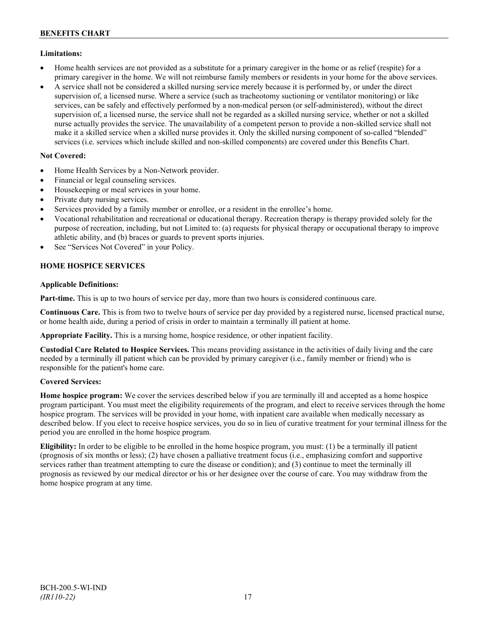## **Limitations:**

- Home health services are not provided as a substitute for a primary caregiver in the home or as relief (respite) for a primary caregiver in the home. We will not reimburse family members or residents in your home for the above services.
- A service shall not be considered a skilled nursing service merely because it is performed by, or under the direct supervision of, a licensed nurse. Where a service (such as tracheotomy suctioning or ventilator monitoring) or like services, can be safely and effectively performed by a non-medical person (or self-administered), without the direct supervision of, a licensed nurse, the service shall not be regarded as a skilled nursing service, whether or not a skilled nurse actually provides the service. The unavailability of a competent person to provide a non-skilled service shall not make it a skilled service when a skilled nurse provides it. Only the skilled nursing component of so-called "blended" services (i.e. services which include skilled and non-skilled components) are covered under this Benefits Chart.

## **Not Covered:**

- Home Health Services by a Non-Network provider.
- Financial or legal counseling services.
- Housekeeping or meal services in your home.
- Private duty nursing services.
- Services provided by a family member or enrollee, or a resident in the enrollee's home.
- Vocational rehabilitation and recreational or educational therapy. Recreation therapy is therapy provided solely for the purpose of recreation, including, but not Limited to: (a) requests for physical therapy or occupational therapy to improve athletic ability, and (b) braces or guards to prevent sports injuries.
- See "Services Not Covered" in your Policy.

## **HOME HOSPICE SERVICES**

## **Applicable Definitions:**

**Part-time.** This is up to two hours of service per day, more than two hours is considered continuous care.

**Continuous Care.** This is from two to twelve hours of service per day provided by a registered nurse, licensed practical nurse, or home health aide, during a period of crisis in order to maintain a terminally ill patient at home.

**Appropriate Facility.** This is a nursing home, hospice residence, or other inpatient facility.

**Custodial Care Related to Hospice Services.** This means providing assistance in the activities of daily living and the care needed by a terminally ill patient which can be provided by primary caregiver (i.e., family member or friend) who is responsible for the patient's home care.

## **Covered Services:**

**Home hospice program:** We cover the services described below if you are terminally ill and accepted as a home hospice program participant. You must meet the eligibility requirements of the program, and elect to receive services through the home hospice program. The services will be provided in your home, with inpatient care available when medically necessary as described below. If you elect to receive hospice services, you do so in lieu of curative treatment for your terminal illness for the period you are enrolled in the home hospice program.

**Eligibility:** In order to be eligible to be enrolled in the home hospice program, you must: (1) be a terminally ill patient (prognosis of six months or less); (2) have chosen a palliative treatment focus (i.e., emphasizing comfort and supportive services rather than treatment attempting to cure the disease or condition); and (3) continue to meet the terminally ill prognosis as reviewed by our medical director or his or her designee over the course of care. You may withdraw from the home hospice program at any time.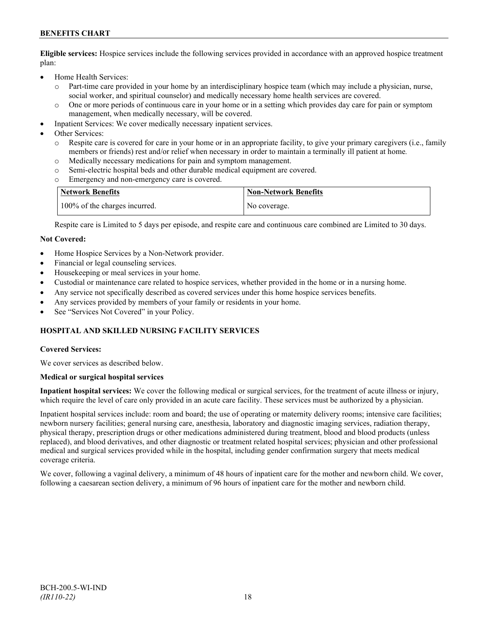## **BENEFITS CHART**

**Eligible services:** Hospice services include the following services provided in accordance with an approved hospice treatment plan:

- Home Health Services:
	- o Part-time care provided in your home by an interdisciplinary hospice team (which may include a physician, nurse, social worker, and spiritual counselor) and medically necessary home health services are covered.
	- o One or more periods of continuous care in your home or in a setting which provides day care for pain or symptom management, when medically necessary, will be covered.
- Inpatient Services: We cover medically necessary inpatient services.
- Other Services:
	- Respite care is covered for care in your home or in an appropriate facility, to give your primary caregivers (i.e., family members or friends) rest and/or relief when necessary in order to maintain a terminally ill patient at home*.*
	- o Medically necessary medications for pain and symptom management.
	- o Semi-electric hospital beds and other durable medical equipment are covered.
	- Emergency and non-emergency care is covered.

| Network Benefits              | <b>Non-Network Benefits</b> |
|-------------------------------|-----------------------------|
| 100% of the charges incurred. | No coverage.                |

Respite care is Limited to 5 days per episode, and respite care and continuous care combined are Limited to 30 days.

### **Not Covered:**

- Home Hospice Services by a Non-Network provider.
- Financial or legal counseling services.
- Housekeeping or meal services in your home.
- Custodial or maintenance care related to hospice services, whether provided in the home or in a nursing home.
- Any service not specifically described as covered services under this home hospice services benefits.
- Any services provided by members of your family or residents in your home.
- See "Services Not Covered" in your Policy.

## **HOSPITAL AND SKILLED NURSING FACILITY SERVICES**

#### **Covered Services:**

We cover services as described below.

#### **Medical or surgical hospital services**

**Inpatient hospital services:** We cover the following medical or surgical services, for the treatment of acute illness or injury, which require the level of care only provided in an acute care facility. These services must be authorized by a physician.

Inpatient hospital services include: room and board; the use of operating or maternity delivery rooms; intensive care facilities; newborn nursery facilities; general nursing care, anesthesia, laboratory and diagnostic imaging services, radiation therapy, physical therapy, prescription drugs or other medications administered during treatment, blood and blood products (unless replaced), and blood derivatives, and other diagnostic or treatment related hospital services; physician and other professional medical and surgical services provided while in the hospital, including gender confirmation surgery that meets medical coverage criteria.

We cover, following a vaginal delivery, a minimum of 48 hours of inpatient care for the mother and newborn child. We cover, following a caesarean section delivery, a minimum of 96 hours of inpatient care for the mother and newborn child.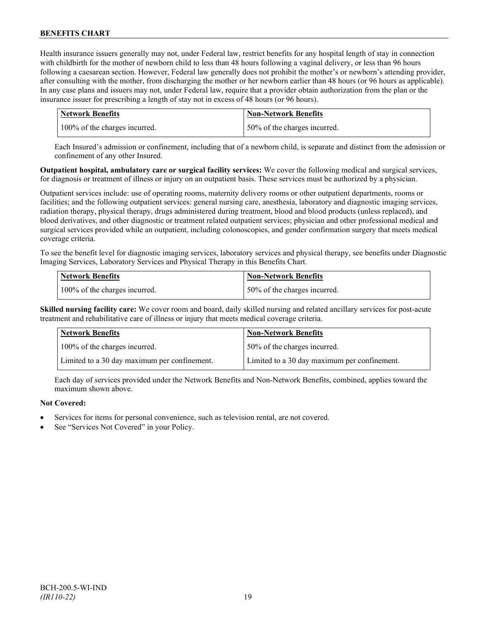Health insurance issuers generally may not, under Federal law, restrict benefits for any hospital length of stay in connection with childbirth for the mother of newborn child to less than 48 hours following a vaginal delivery, or less than 96 hours following a caesarean section. However, Federal law generally does not prohibit the mother's or newborn's attending provider, after consulting with the mother, from discharging the mother or her newborn earlier than 48 hours (or 96 hours as applicable). In any case plans and issuers may not, under Federal law, require that a provider obtain authorization from the plan or the insurance issuer for prescribing a length of stay not in excess of 48 hours (or 96 hours).

| <b>Network Benefits</b>       | Non-Network Benefits         |
|-------------------------------|------------------------------|
| 100% of the charges incurred. | 50% of the charges incurred. |

Each Insured's admission or confinement, including that of a newborn child, is separate and distinct from the admission or confinement of any other Insured.

**Outpatient hospital, ambulatory care or surgical facility services:** We cover the following medical and surgical services, for diagnosis or treatment of illness or injury on an outpatient basis. These services must be authorized by a physician.

Outpatient services include: use of operating rooms, maternity delivery rooms or other outpatient departments, rooms or facilities; and the following outpatient services: general nursing care, anesthesia, laboratory and diagnostic imaging services, radiation therapy, physical therapy, drugs administered during treatment, blood and blood products (unless replaced), and blood derivatives, and other diagnostic or treatment related outpatient services; physician and other professional medical and surgical services provided while an outpatient, including colonoscopies, and gender confirmation surgery that meets medical coverage criteria.

To see the benefit level for diagnostic imaging services, laboratory services and physical therapy, see benefits under Diagnostic Imaging Services, Laboratory Services and Physical Therapy in this Benefits Chart.

| <b>Network Benefits</b>       | <b>Non-Network Benefits</b>  |
|-------------------------------|------------------------------|
| 100% of the charges incurred. | 50% of the charges incurred. |

**Skilled nursing facility care:** We cover room and board, daily skilled nursing and related ancillary services for post-acute treatment and rehabilitative care of illness or injury that meets medical coverage criteria.

| <b>Network Benefits</b>                      | <b>Non-Network Benefits</b>                  |
|----------------------------------------------|----------------------------------------------|
| 100% of the charges incurred.                | 50% of the charges incurred.                 |
| Limited to a 30 day maximum per confinement. | Limited to a 30 day maximum per confinement. |

Each day of services provided under the Network Benefits and Non-Network Benefits, combined, applies toward the maximum shown above.

## **Not Covered:**

- Services for items for personal convenience, such as television rental, are not covered.
- See "Services Not Covered" in your Policy.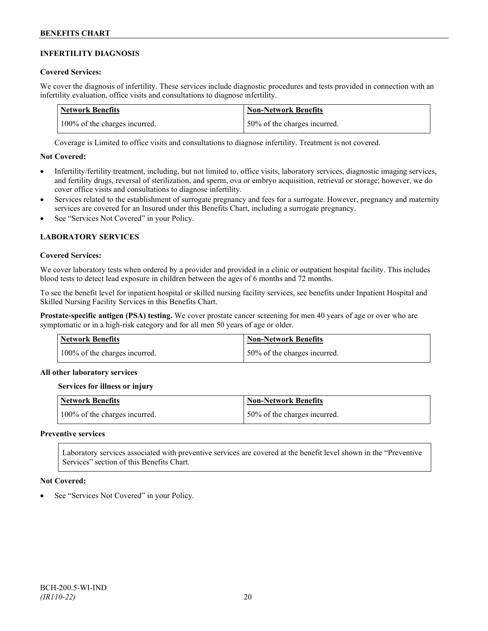## **INFERTILITY DIAGNOSIS**

## **Covered Services:**

We cover the diagnosis of infertility. These services include diagnostic procedures and tests provided in connection with an infertility evaluation, office visits and consultations to diagnose infertility.

| Network Benefits              | <b>Non-Network Benefits</b>  |
|-------------------------------|------------------------------|
| 100% of the charges incurred. | 50% of the charges incurred. |

Coverage is Limited to office visits and consultations to diagnose infertility. Treatment is not covered.

## **Not Covered:**

- Infertility/fertility treatment, including, but not limited to, office visits, laboratory services, diagnostic imaging services, and fertility drugs, reversal of sterilization, and sperm, ova or embryo acquisition, retrieval or storage; however, we do cover office visits and consultations to diagnose infertility.
- Services related to the establishment of surrogate pregnancy and fees for a surrogate. However, pregnancy and maternity services are covered for an Insured under this Benefits Chart, including a surrogate pregnancy.
- See "Services Not Covered" in your Policy.

## **LABORATORY SERVICES**

### **Covered Services:**

We cover laboratory tests when ordered by a provider and provided in a clinic or outpatient hospital facility. This includes blood tests to detect lead exposure in children between the ages of 6 months and 72 months.

To see the benefit level for inpatient hospital or skilled nursing facility services, see benefits under Inpatient Hospital and Skilled Nursing Facility Services in this Benefits Chart.

**Prostate-specific antigen (PSA) testing.** We cover prostate cancer screening for men 40 years of age or over who are symptomatic or in a high-risk category and for all men 50 years of age or older.

| <b>Network Benefits</b>       | <b>Non-Network Benefits</b>  |
|-------------------------------|------------------------------|
| 100% of the charges incurred. | 50% of the charges incurred. |

## **All other laboratory services**

#### **Services for illness or injury**

| <b>Network Benefits</b>       | <b>Non-Network Benefits</b>  |
|-------------------------------|------------------------------|
| 100% of the charges incurred. | 50% of the charges incurred. |

#### **Preventive services**

Laboratory services associated with preventive services are covered at the benefit level shown in the "Preventive Services" section of this Benefits Chart.

#### **Not Covered:**

See "Services Not Covered" in your Policy.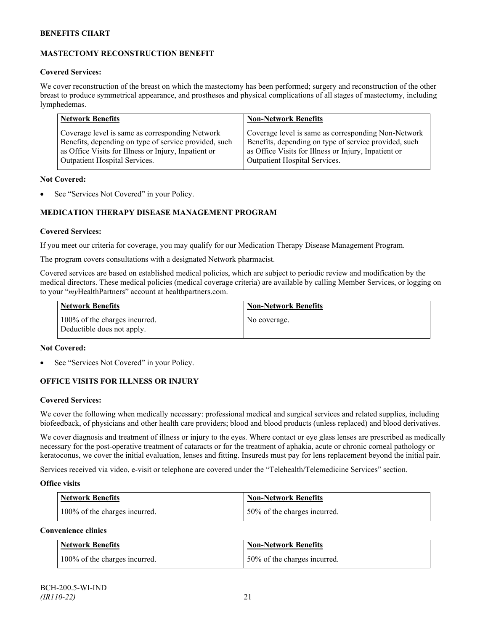## **MASTECTOMY RECONSTRUCTION BENEFIT**

## **Covered Services:**

We cover reconstruction of the breast on which the mastectomy has been performed; surgery and reconstruction of the other breast to produce symmetrical appearance, and prostheses and physical complications of all stages of mastectomy, including lymphedemas.

| <b>Network Benefits</b>                               | <b>Non-Network Benefits</b>                           |
|-------------------------------------------------------|-------------------------------------------------------|
| Coverage level is same as corresponding Network       | Coverage level is same as corresponding Non-Network   |
| Benefits, depending on type of service provided, such | Benefits, depending on type of service provided, such |
| as Office Visits for Illness or Injury, Inpatient or  | as Office Visits for Illness or Injury, Inpatient or  |
| Outpatient Hospital Services.                         | Outpatient Hospital Services.                         |

## **Not Covered:**

See "Services Not Covered" in your Policy.

## **MEDICATION THERAPY DISEASE MANAGEMENT PROGRAM**

## **Covered Services:**

If you meet our criteria for coverage, you may qualify for our Medication Therapy Disease Management Program.

The program covers consultations with a designated Network pharmacist.

Covered services are based on established medical policies, which are subject to periodic review and modification by the medical directors. These medical policies (medical coverage criteria) are available by calling Member Services, or logging on to your "*my*HealthPartners" account at [healthpartners.com.](http://www.healthpartners.com/)

| <b>Network Benefits</b>                                     | <b>Non-Network Benefits</b> |
|-------------------------------------------------------------|-----------------------------|
| 100% of the charges incurred.<br>Deductible does not apply. | No coverage.                |

## **Not Covered:**

See "Services Not Covered" in your Policy.

## **OFFICE VISITS FOR ILLNESS OR INJURY**

## **Covered Services:**

We cover the following when medically necessary: professional medical and surgical services and related supplies, including biofeedback, of physicians and other health care providers; blood and blood products (unless replaced) and blood derivatives.

We cover diagnosis and treatment of illness or injury to the eyes. Where contact or eye glass lenses are prescribed as medically necessary for the post-operative treatment of cataracts or for the treatment of aphakia, acute or chronic corneal pathology or keratoconus, we cover the initial evaluation, lenses and fitting. Insureds must pay for lens replacement beyond the initial pair.

Services received via video, e-visit or telephone are covered under the "Telehealth/Telemedicine Services" section.

## **Office visits**

| <b>Network Benefits</b>       | <b>Non-Network Benefits</b>  |
|-------------------------------|------------------------------|
| 100% of the charges incurred. | 50% of the charges incurred. |

## **Convenience clinics**

| <b>Network Benefits</b>       | <b>Non-Network Benefits</b>  |
|-------------------------------|------------------------------|
| 100% of the charges incurred. | 50% of the charges incurred. |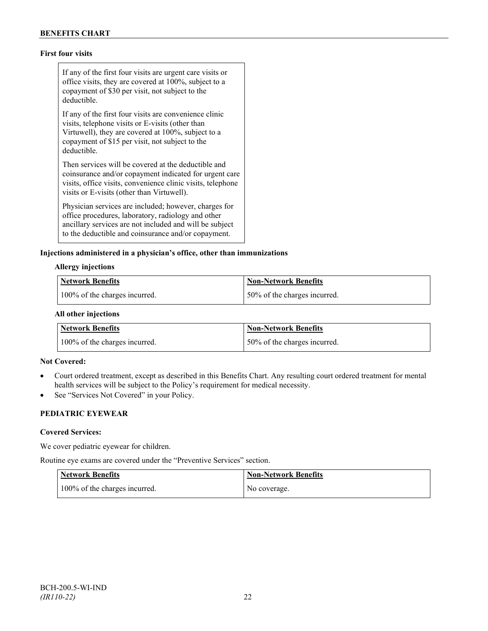## **First four visits**

If any of the first four visits are urgent care visits or office visits, they are covered at 100%, subject to a copayment of \$30 per visit, not subject to the deductible.

If any of the first four visits are convenience clinic visits, telephone visits or E-visits (other than Virtuwell), they are covered at 100%, subject to a copayment of \$15 per visit, not subject to the deductible.

Then services will be covered at the deductible and coinsurance and/or copayment indicated for urgent care visits, office visits, convenience clinic visits, telephone visits or E-visits (other than Virtuwell).

Physician services are included; however, charges for office procedures, laboratory, radiology and other ancillary services are not included and will be subject to the deductible and coinsurance and/or copayment.

### **Injections administered in a physician's office, other than immunizations**

#### **Allergy injections**

| <b>Network Benefits</b>       | Non-Network Benefits         |
|-------------------------------|------------------------------|
| 100% of the charges incurred. | 50% of the charges incurred. |

#### **All other injections**

| <b>Network Benefits</b>       | Non-Network Benefits         |
|-------------------------------|------------------------------|
| 100% of the charges incurred. | 50% of the charges incurred. |

### **Not Covered:**

- Court ordered treatment, except as described in this Benefits Chart. Any resulting court ordered treatment for mental health services will be subject to the Policy's requirement for medical necessity.
- See "Services Not Covered" in your Policy.

## **PEDIATRIC EYEWEAR**

#### **Covered Services:**

We cover pediatric eyewear for children.

Routine eye exams are covered under the "Preventive Services" section.

| <b>Network Benefits</b>       | <b>Non-Network Benefits</b> |
|-------------------------------|-----------------------------|
| 100% of the charges incurred. | No coverage.                |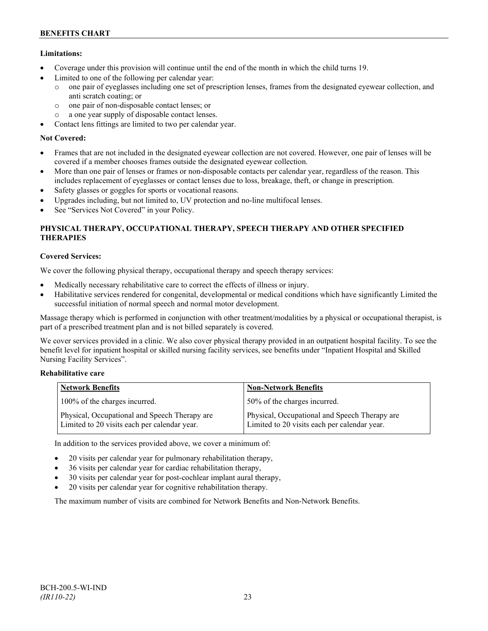## **Limitations:**

- Coverage under this provision will continue until the end of the month in which the child turns 19.
- Limited to one of the following per calendar year:
	- o one pair of eyeglasses including one set of prescription lenses, frames from the designated eyewear collection, and anti scratch coating; or
	- o one pair of non-disposable contact lenses; or
	- o a one year supply of disposable contact lenses.
- Contact lens fittings are limited to two per calendar year.

## **Not Covered:**

- Frames that are not included in the designated eyewear collection are not covered. However, one pair of lenses will be covered if a member chooses frames outside the designated eyewear collection.
- More than one pair of lenses or frames or non-disposable contacts per calendar year, regardless of the reason. This includes replacement of eyeglasses or contact lenses due to loss, breakage, theft, or change in prescription.
- Safety glasses or goggles for sports or vocational reasons.
- Upgrades including, but not limited to, UV protection and no-line multifocal lenses.
- See "Services Not Covered" in your Policy.

## **PHYSICAL THERAPY, OCCUPATIONAL THERAPY, SPEECH THERAPY AND OTHER SPECIFIED THERAPIES**

## **Covered Services:**

We cover the following physical therapy, occupational therapy and speech therapy services:

- Medically necessary rehabilitative care to correct the effects of illness or injury.
- Habilitative services rendered for congenital, developmental or medical conditions which have significantly Limited the successful initiation of normal speech and normal motor development.

Massage therapy which is performed in conjunction with other treatment/modalities by a physical or occupational therapist, is part of a prescribed treatment plan and is not billed separately is covered.

We cover services provided in a clinic. We also cover physical therapy provided in an outpatient hospital facility. To see the benefit level for inpatient hospital or skilled nursing facility services, see benefits under "Inpatient Hospital and Skilled Nursing Facility Services".

## **Rehabilitative care**

| <b>Network Benefits</b>                                                                       | <b>Non-Network Benefits</b>                                                                   |
|-----------------------------------------------------------------------------------------------|-----------------------------------------------------------------------------------------------|
| 100% of the charges incurred.                                                                 | 50% of the charges incurred.                                                                  |
| Physical, Occupational and Speech Therapy are<br>Limited to 20 visits each per calendar year. | Physical, Occupational and Speech Therapy are<br>Limited to 20 visits each per calendar year. |

In addition to the services provided above, we cover a minimum of:

- 20 visits per calendar year for pulmonary rehabilitation therapy,
- 36 visits per calendar year for cardiac rehabilitation therapy,
- 30 visits per calendar year for post-cochlear implant aural therapy,
- 20 visits per calendar year for cognitive rehabilitation therapy.

The maximum number of visits are combined for Network Benefits and Non-Network Benefits.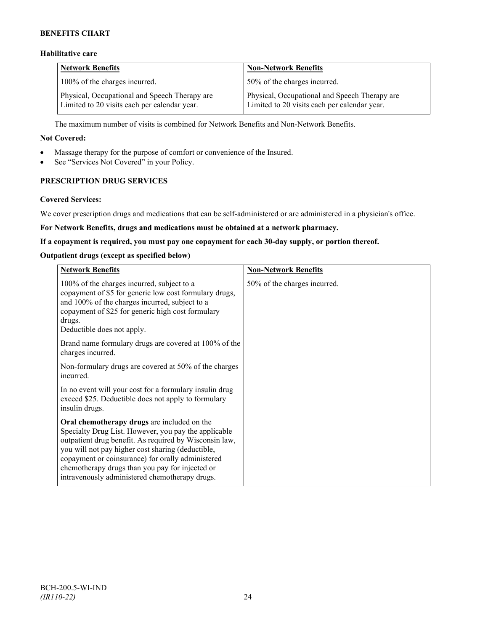## **BENEFITS CHART**

## **Habilitative care**

| <b>Network Benefits</b>                                                                       | <b>Non-Network Benefits</b>                                                                   |
|-----------------------------------------------------------------------------------------------|-----------------------------------------------------------------------------------------------|
| 100% of the charges incurred.                                                                 | 50% of the charges incurred.                                                                  |
| Physical, Occupational and Speech Therapy are<br>Limited to 20 visits each per calendar year. | Physical, Occupational and Speech Therapy are<br>Limited to 20 visits each per calendar year. |

The maximum number of visits is combined for Network Benefits and Non-Network Benefits.

### **Not Covered:**

- Massage therapy for the purpose of comfort or convenience of the Insured.
- See "Services Not Covered" in your Policy.

## **PRESCRIPTION DRUG SERVICES**

#### **Covered Services:**

We cover prescription drugs and medications that can be self-administered or are administered in a physician's office.

### **For Network Benefits, drugs and medications must be obtained at a network pharmacy.**

### **If a copayment is required, you must pay one copayment for each 30-day supply, or portion thereof.**

### **Outpatient drugs (except as specified below)**

| <b>Network Benefits</b>                                                                                                                                                                                                                                                                                                                                                      | <b>Non-Network Benefits</b>  |
|------------------------------------------------------------------------------------------------------------------------------------------------------------------------------------------------------------------------------------------------------------------------------------------------------------------------------------------------------------------------------|------------------------------|
| 100% of the charges incurred, subject to a<br>copayment of \$5 for generic low cost formulary drugs,<br>and 100% of the charges incurred, subject to a<br>copayment of \$25 for generic high cost formulary<br>drugs.<br>Deductible does not apply.                                                                                                                          | 50% of the charges incurred. |
| Brand name formulary drugs are covered at 100% of the<br>charges incurred.                                                                                                                                                                                                                                                                                                   |                              |
| Non-formulary drugs are covered at 50% of the charges<br>incurred.                                                                                                                                                                                                                                                                                                           |                              |
| In no event will your cost for a formulary insulin drug<br>exceed \$25. Deductible does not apply to formulary<br>insulin drugs.                                                                                                                                                                                                                                             |                              |
| Oral chemotherapy drugs are included on the<br>Specialty Drug List. However, you pay the applicable<br>outpatient drug benefit. As required by Wisconsin law,<br>you will not pay higher cost sharing (deductible,<br>copayment or coinsurance) for orally administered<br>chemotherapy drugs than you pay for injected or<br>intravenously administered chemotherapy drugs. |                              |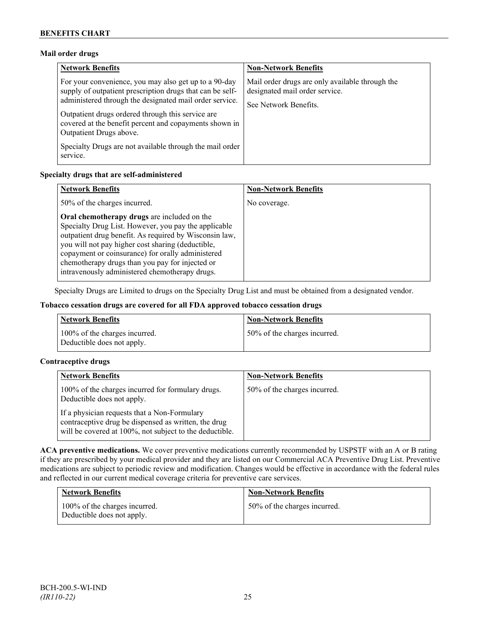## **Mail order drugs**

| <b>Network Benefits</b>                                                                                                                                                                                                                                                                                                 | <b>Non-Network Benefits</b>                                                                                |
|-------------------------------------------------------------------------------------------------------------------------------------------------------------------------------------------------------------------------------------------------------------------------------------------------------------------------|------------------------------------------------------------------------------------------------------------|
| For your convenience, you may also get up to a 90-day<br>supply of outpatient prescription drugs that can be self-<br>administered through the designated mail order service.<br>Outpatient drugs ordered through this service are<br>covered at the benefit percent and copayments shown in<br>Outpatient Drugs above. | Mail order drugs are only available through the<br>designated mail order service.<br>See Network Benefits. |
| Specialty Drugs are not available through the mail order<br>service.                                                                                                                                                                                                                                                    |                                                                                                            |

## **Specialty drugs that are self-administered**

| <b>Network Benefits</b>                                                                                                                                                                                                                                                                                                                                                      | <b>Non-Network Benefits</b> |
|------------------------------------------------------------------------------------------------------------------------------------------------------------------------------------------------------------------------------------------------------------------------------------------------------------------------------------------------------------------------------|-----------------------------|
| 50% of the charges incurred.                                                                                                                                                                                                                                                                                                                                                 | No coverage.                |
| Oral chemotherapy drugs are included on the<br>Specialty Drug List. However, you pay the applicable<br>outpatient drug benefit. As required by Wisconsin law,<br>you will not pay higher cost sharing (deductible,<br>copayment or coinsurance) for orally administered<br>chemotherapy drugs than you pay for injected or<br>intravenously administered chemotherapy drugs. |                             |

Specialty Drugs are Limited to drugs on the Specialty Drug List and must be obtained from a designated vendor.

## **Tobacco cessation drugs are covered for all FDA approved tobacco cessation drugs**

| <b>Network Benefits</b>                                     | <b>Non-Network Benefits</b>  |
|-------------------------------------------------------------|------------------------------|
| 100% of the charges incurred.<br>Deductible does not apply. | 50% of the charges incurred. |

## **Contraceptive drugs**

| <b>Network Benefits</b>                                                                                                                                         | <b>Non-Network Benefits</b>  |
|-----------------------------------------------------------------------------------------------------------------------------------------------------------------|------------------------------|
| 100% of the charges incurred for formulary drugs.<br>Deductible does not apply.                                                                                 | 50% of the charges incurred. |
| If a physician requests that a Non-Formulary<br>contraceptive drug be dispensed as written, the drug<br>will be covered at 100%, not subject to the deductible. |                              |

**ACA preventive medications.** We cover preventive medications currently recommended by USPSTF with an A or B rating if they are prescribed by your medical provider and they are listed on our Commercial ACA Preventive Drug List. Preventive medications are subject to periodic review and modification. Changes would be effective in accordance with the federal rules and reflected in our current medical coverage criteria for preventive care services.

| <b>Network Benefits</b>                                     | <b>Non-Network Benefits</b>  |
|-------------------------------------------------------------|------------------------------|
| 100% of the charges incurred.<br>Deductible does not apply. | 50% of the charges incurred. |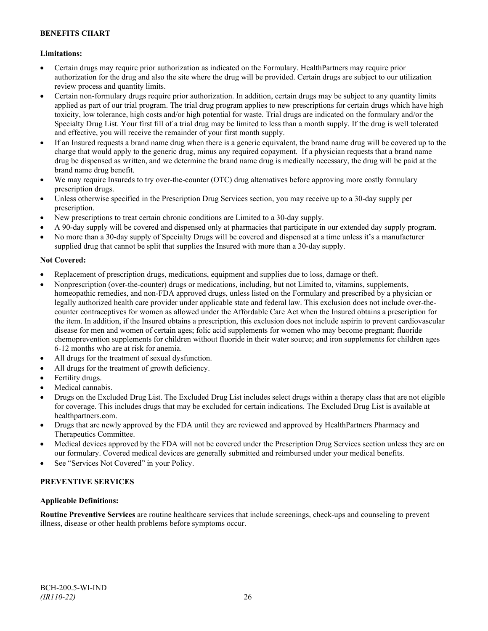## **Limitations:**

- Certain drugs may require prior authorization as indicated on the Formulary. HealthPartners may require prior authorization for the drug and also the site where the drug will be provided. Certain drugs are subject to our utilization review process and quantity limits.
- Certain non-formulary drugs require prior authorization. In addition, certain drugs may be subject to any quantity limits applied as part of our trial program. The trial drug program applies to new prescriptions for certain drugs which have high toxicity, low tolerance, high costs and/or high potential for waste. Trial drugs are indicated on the formulary and/or the Specialty Drug List. Your first fill of a trial drug may be limited to less than a month supply. If the drug is well tolerated and effective, you will receive the remainder of your first month supply.
- If an Insured requests a brand name drug when there is a generic equivalent, the brand name drug will be covered up to the charge that would apply to the generic drug, minus any required copayment. If a physician requests that a brand name drug be dispensed as written, and we determine the brand name drug is medically necessary, the drug will be paid at the brand name drug benefit.
- We may require Insureds to try over-the-counter (OTC) drug alternatives before approving more costly formulary prescription drugs.
- Unless otherwise specified in the Prescription Drug Services section, you may receive up to a 30-day supply per prescription.
- New prescriptions to treat certain chronic conditions are Limited to a 30-day supply.
- A 90-day supply will be covered and dispensed only at pharmacies that participate in our extended day supply program.
- No more than a 30-day supply of Specialty Drugs will be covered and dispensed at a time unless it's a manufacturer supplied drug that cannot be split that supplies the Insured with more than a 30-day supply.

## **Not Covered:**

- Replacement of prescription drugs, medications, equipment and supplies due to loss, damage or theft.
- Nonprescription (over-the-counter) drugs or medications, including, but not Limited to, vitamins, supplements, homeopathic remedies, and non-FDA approved drugs, unless listed on the Formulary and prescribed by a physician or legally authorized health care provider under applicable state and federal law. This exclusion does not include over-thecounter contraceptives for women as allowed under the Affordable Care Act when the Insured obtains a prescription for the item. In addition, if the Insured obtains a prescription, this exclusion does not include aspirin to prevent cardiovascular disease for men and women of certain ages; folic acid supplements for women who may become pregnant; fluoride chemoprevention supplements for children without fluoride in their water source; and iron supplements for children ages 6-12 months who are at risk for anemia.
- All drugs for the treatment of sexual dysfunction.
- All drugs for the treatment of growth deficiency.
- Fertility drugs.
- Medical cannabis.
- Drugs on the Excluded Drug List. The Excluded Drug List includes select drugs within a therapy class that are not eligible for coverage. This includes drugs that may be excluded for certain indications. The Excluded Drug List is available at [healthpartners.com.](http://www.healthpartners.com/)
- Drugs that are newly approved by the FDA until they are reviewed and approved by HealthPartners Pharmacy and Therapeutics Committee.
- Medical devices approved by the FDA will not be covered under the Prescription Drug Services section unless they are on our formulary. Covered medical devices are generally submitted and reimbursed under your medical benefits.
- See "Services Not Covered" in your Policy.

## **PREVENTIVE SERVICES**

## **Applicable Definitions:**

**Routine Preventive Services** are routine healthcare services that include screenings, check-ups and counseling to prevent illness, disease or other health problems before symptoms occur.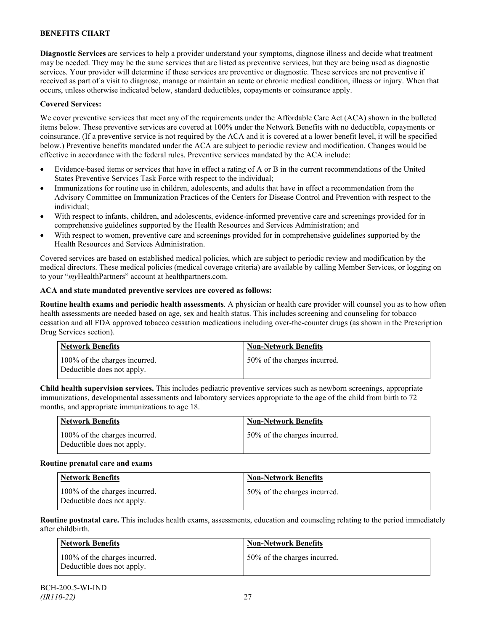**Diagnostic Services** are services to help a provider understand your symptoms, diagnose illness and decide what treatment may be needed. They may be the same services that are listed as preventive services, but they are being used as diagnostic services. Your provider will determine if these services are preventive or diagnostic. These services are not preventive if received as part of a visit to diagnose, manage or maintain an acute or chronic medical condition, illness or injury. When that occurs, unless otherwise indicated below, standard deductibles, copayments or coinsurance apply.

## **Covered Services:**

We cover preventive services that meet any of the requirements under the Affordable Care Act (ACA) shown in the bulleted items below. These preventive services are covered at 100% under the Network Benefits with no deductible, copayments or coinsurance. (If a preventive service is not required by the ACA and it is covered at a lower benefit level, it will be specified below.) Preventive benefits mandated under the ACA are subject to periodic review and modification. Changes would be effective in accordance with the federal rules. Preventive services mandated by the ACA include:

- Evidence-based items or services that have in effect a rating of A or B in the current recommendations of the United States Preventive Services Task Force with respect to the individual;
- Immunizations for routine use in children, adolescents, and adults that have in effect a recommendation from the Advisory Committee on Immunization Practices of the Centers for Disease Control and Prevention with respect to the individual;
- With respect to infants, children, and adolescents, evidence-informed preventive care and screenings provided for in comprehensive guidelines supported by the Health Resources and Services Administration; and
- With respect to women, preventive care and screenings provided for in comprehensive guidelines supported by the Health Resources and Services Administration.

Covered services are based on established medical policies, which are subject to periodic review and modification by the medical directors. These medical policies (medical coverage criteria) are available by calling Member Services, or logging on to your "*my*HealthPartners" account at [healthpartners.com.](http://www.healthpartners.com/)

## **ACA and state mandated preventive services are covered as follows:**

**Routine health exams and periodic health assessments**. A physician or health care provider will counsel you as to how often health assessments are needed based on age, sex and health status. This includes screening and counseling for tobacco cessation and all FDA approved tobacco cessation medications including over-the-counter drugs (as shown in the Prescription Drug Services section).

| Network Benefits                                            | <b>Non-Network Benefits</b>  |
|-------------------------------------------------------------|------------------------------|
| 100% of the charges incurred.<br>Deductible does not apply. | 50% of the charges incurred. |

**Child health supervision services.** This includes pediatric preventive services such as newborn screenings, appropriate immunizations, developmental assessments and laboratory services appropriate to the age of the child from birth to 72 months, and appropriate immunizations to age 18.

| Network Benefits                                            | <b>Non-Network Benefits</b>  |
|-------------------------------------------------------------|------------------------------|
| 100% of the charges incurred.<br>Deductible does not apply. | 50% of the charges incurred. |

## **Routine prenatal care and exams**

| Network Benefits                                            | <b>Non-Network Benefits</b>  |
|-------------------------------------------------------------|------------------------------|
| 100% of the charges incurred.<br>Deductible does not apply. | 50% of the charges incurred. |

**Routine postnatal care.** This includes health exams, assessments, education and counseling relating to the period immediately after childbirth.

| Network Benefits                                            | <b>Non-Network Benefits</b>  |
|-------------------------------------------------------------|------------------------------|
| 100% of the charges incurred.<br>Deductible does not apply. | 50% of the charges incurred. |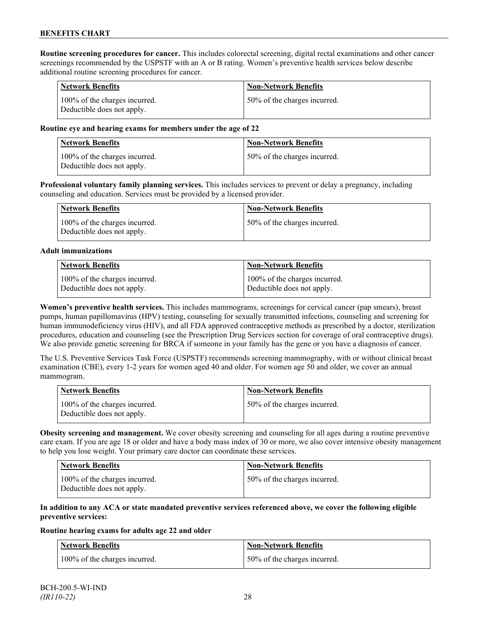**Routine screening procedures for cancer.** This includes colorectal screening, digital rectal examinations and other cancer screenings recommended by the USPSTF with an A or B rating. Women's preventive health services below describe additional routine screening procedures for cancer.

| <b>Network Benefits</b>                                     | <b>Non-Network Benefits</b>  |
|-------------------------------------------------------------|------------------------------|
| 100% of the charges incurred.<br>Deductible does not apply. | 50% of the charges incurred. |

### **Routine eye and hearing exams for members under the age of 22**

| Network Benefits                                            | <b>Non-Network Benefits</b>  |
|-------------------------------------------------------------|------------------------------|
| 100% of the charges incurred.<br>Deductible does not apply. | 50% of the charges incurred. |

**Professional voluntary family planning services.** This includes services to prevent or delay a pregnancy, including counseling and education. Services must be provided by a licensed provider.

| <b>Network Benefits</b>                                     | <b>Non-Network Benefits</b>  |
|-------------------------------------------------------------|------------------------------|
| 100% of the charges incurred.<br>Deductible does not apply. | 50% of the charges incurred. |

### **Adult immunizations**

| <b>Network Benefits</b>       | <b>Non-Network Benefits</b>   |
|-------------------------------|-------------------------------|
| 100% of the charges incurred. | 100% of the charges incurred. |
| Deductible does not apply.    | Deductible does not apply.    |

**Women's preventive health services.** This includes mammograms, screenings for cervical cancer (pap smears), breast pumps, human papillomavirus (HPV) testing, counseling for sexually transmitted infections, counseling and screening for human immunodeficiency virus (HIV), and all FDA approved contraceptive methods as prescribed by a doctor, sterilization procedures, education and counseling (see the Prescription Drug Services section for coverage of oral contraceptive drugs). We also provide genetic screening for BRCA if someone in your family has the gene or you have a diagnosis of cancer.

The U.S. Preventive Services Task Force (USPSTF) recommends screening mammography, with or without clinical breast examination (CBE), every 1-2 years for women aged 40 and older. For women age 50 and older, we cover an annual mammogram.

| Network Benefits                                            | <b>Non-Network Benefits</b>  |
|-------------------------------------------------------------|------------------------------|
| 100% of the charges incurred.<br>Deductible does not apply. | 50% of the charges incurred. |

**Obesity screening and management.** We cover obesity screening and counseling for all ages during a routine preventive care exam. If you are age 18 or older and have a body mass index of 30 or more, we also cover intensive obesity management to help you lose weight. Your primary care doctor can coordinate these services.

| <b>Network Benefits</b>                                     | Non-Network Benefits         |
|-------------------------------------------------------------|------------------------------|
| 100% of the charges incurred.<br>Deductible does not apply. | 50% of the charges incurred. |

### **In addition to any ACA or state mandated preventive services referenced above, we cover the following eligible preventive services:**

#### **Routine hearing exams for adults age 22 and older**

| <b>Network Benefits</b>       | <b>Non-Network Benefits</b>  |
|-------------------------------|------------------------------|
| 100% of the charges incurred. | 50% of the charges incurred. |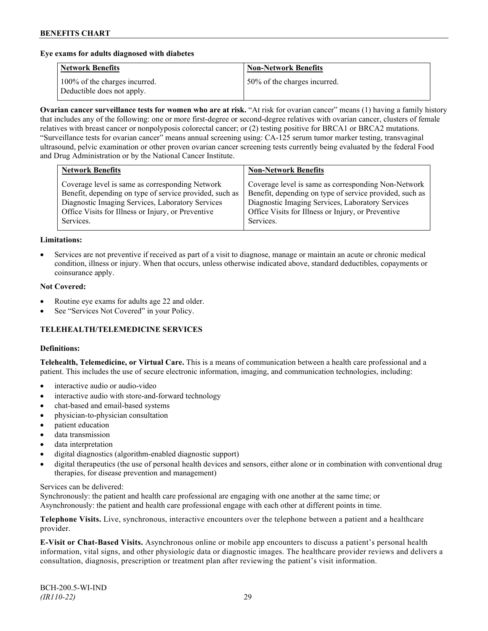### **Eye exams for adults diagnosed with diabetes**

| <b>Network Benefits</b>                                     | <b>Non-Network Benefits</b>  |
|-------------------------------------------------------------|------------------------------|
| 100% of the charges incurred.<br>Deductible does not apply. | 50% of the charges incurred. |

**Ovarian cancer surveillance tests for women who are at risk.** "At risk for ovarian cancer" means (1) having a family history that includes any of the following: one or more first-degree or second-degree relatives with ovarian cancer, clusters of female relatives with breast cancer or nonpolyposis colorectal cancer; or (2) testing positive for BRCA1 or BRCA2 mutations. "Surveillance tests for ovarian cancer" means annual screening using: CA-125 serum tumor marker testing, transvaginal ultrasound, pelvic examination or other proven ovarian cancer screening tests currently being evaluated by the federal Food and Drug Administration or by the National Cancer Institute.

| <b>Network Benefits</b>                                                                                                                                                                                                           | <b>Non-Network Benefits</b>                                                                                                                                                                                                           |
|-----------------------------------------------------------------------------------------------------------------------------------------------------------------------------------------------------------------------------------|---------------------------------------------------------------------------------------------------------------------------------------------------------------------------------------------------------------------------------------|
| Coverage level is same as corresponding Network<br>Benefit, depending on type of service provided, such as<br>Diagnostic Imaging Services, Laboratory Services<br>Office Visits for Illness or Injury, or Preventive<br>Services. | Coverage level is same as corresponding Non-Network<br>Benefit, depending on type of service provided, such as<br>Diagnostic Imaging Services, Laboratory Services<br>Office Visits for Illness or Injury, or Preventive<br>Services. |
|                                                                                                                                                                                                                                   |                                                                                                                                                                                                                                       |

#### **Limitations:**

• Services are not preventive if received as part of a visit to diagnose, manage or maintain an acute or chronic medical condition, illness or injury. When that occurs, unless otherwise indicated above, standard deductibles, copayments or coinsurance apply.

### **Not Covered:**

- Routine eye exams for adults age 22 and older.
- See "Services Not Covered" in your Policy.

## **TELEHEALTH/TELEMEDICINE SERVICES**

#### **Definitions:**

**Telehealth, Telemedicine, or Virtual Care.** This is a means of communication between a health care professional and a patient. This includes the use of secure electronic information, imaging, and communication technologies, including:

- interactive audio or audio-video
- interactive audio with store-and-forward technology
- chat-based and email-based systems
- physician-to-physician consultation
- patient education
- data transmission
- data interpretation
- digital diagnostics (algorithm-enabled diagnostic support)
- digital therapeutics (the use of personal health devices and sensors, either alone or in combination with conventional drug therapies, for disease prevention and management)

#### Services can be delivered:

Synchronously: the patient and health care professional are engaging with one another at the same time; or Asynchronously: the patient and health care professional engage with each other at different points in time.

**Telephone Visits.** Live, synchronous, interactive encounters over the telephone between a patient and a healthcare provider.

**E-Visit or Chat-Based Visits.** Asynchronous online or mobile app encounters to discuss a patient's personal health information, vital signs, and other physiologic data or diagnostic images. The healthcare provider reviews and delivers a consultation, diagnosis, prescription or treatment plan after reviewing the patient's visit information.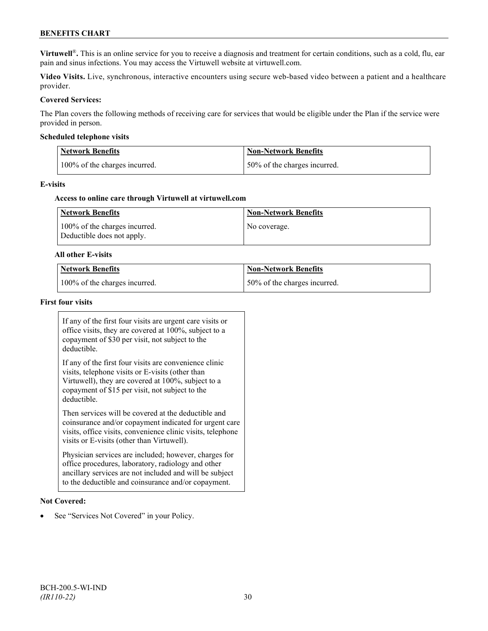## **BENEFITS CHART**

**Virtuwell<sup>®</sup>**. This is an online service for you to receive a diagnosis and treatment for certain conditions, such as a cold, flu, ear pain and sinus infections. You may access the Virtuwell website at [virtuwell.com.](https://www.virtuwell.com/)

**Video Visits.** Live, synchronous, interactive encounters using secure web-based video between a patient and a healthcare provider.

### **Covered Services:**

The Plan covers the following methods of receiving care for services that would be eligible under the Plan if the service were provided in person.

### **Scheduled telephone visits**

| <b>Network Benefits</b>       | <b>Non-Network Benefits</b>  |
|-------------------------------|------------------------------|
| 100% of the charges incurred. | 50% of the charges incurred. |

### **E-visits**

### **Access to online care through Virtuwell at [virtuwell.com](http://www.virtuwell.com/)**

| Network Benefits                                            | <b>Non-Network Benefits</b> |
|-------------------------------------------------------------|-----------------------------|
| 100% of the charges incurred.<br>Deductible does not apply. | No coverage.                |

### **All other E-visits**

| Network Benefits              | Non-Network Benefits         |
|-------------------------------|------------------------------|
| 100% of the charges incurred. | 50% of the charges incurred. |

### **First four visits**

If any of the first four visits are urgent care visits or office visits, they are covered at 100%, subject to a copayment of \$30 per visit, not subject to the deductible.

If any of the first four visits are convenience clinic visits, telephone visits or E-visits (other than Virtuwell), they are covered at 100%, subject to a copayment of \$15 per visit, not subject to the deductible.

Then services will be covered at the deductible and coinsurance and/or copayment indicated for urgent care visits, office visits, convenience clinic visits, telephone visits or E-visits (other than Virtuwell).

Physician services are included; however, charges for office procedures, laboratory, radiology and other ancillary services are not included and will be subject to the deductible and coinsurance and/or copayment.

#### **Not Covered:**

See "Services Not Covered" in your Policy.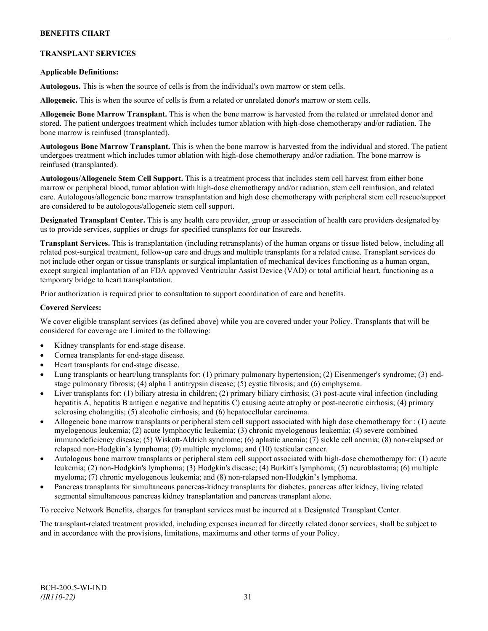## **TRANSPLANT SERVICES**

## **Applicable Definitions:**

**Autologous.** This is when the source of cells is from the individual's own marrow or stem cells.

**Allogeneic.** This is when the source of cells is from a related or unrelated donor's marrow or stem cells.

**Allogeneic Bone Marrow Transplant.** This is when the bone marrow is harvested from the related or unrelated donor and stored. The patient undergoes treatment which includes tumor ablation with high-dose chemotherapy and/or radiation. The bone marrow is reinfused (transplanted).

**Autologous Bone Marrow Transplant.** This is when the bone marrow is harvested from the individual and stored. The patient undergoes treatment which includes tumor ablation with high-dose chemotherapy and/or radiation. The bone marrow is reinfused (transplanted).

**Autologous/Allogeneic Stem Cell Support.** This is a treatment process that includes stem cell harvest from either bone marrow or peripheral blood, tumor ablation with high-dose chemotherapy and/or radiation, stem cell reinfusion, and related care. Autologous/allogeneic bone marrow transplantation and high dose chemotherapy with peripheral stem cell rescue/support are considered to be autologous/allogeneic stem cell support.

**Designated Transplant Center.** This is any health care provider, group or association of health care providers designated by us to provide services, supplies or drugs for specified transplants for our Insureds.

**Transplant Services.** This is transplantation (including retransplants) of the human organs or tissue listed below, including all related post-surgical treatment, follow-up care and drugs and multiple transplants for a related cause. Transplant services do not include other organ or tissue transplants or surgical implantation of mechanical devices functioning as a human organ, except surgical implantation of an FDA approved Ventricular Assist Device (VAD) or total artificial heart, functioning as a temporary bridge to heart transplantation.

Prior authorization is required prior to consultation to support coordination of care and benefits.

### **Covered Services:**

We cover eligible transplant services (as defined above) while you are covered under your Policy. Transplants that will be considered for coverage are Limited to the following:

- Kidney transplants for end-stage disease.
- Cornea transplants for end-stage disease.
- Heart transplants for end-stage disease.
- Lung transplants or heart/lung transplants for: (1) primary pulmonary hypertension; (2) Eisenmenger's syndrome; (3) endstage pulmonary fibrosis; (4) alpha 1 antitrypsin disease; (5) cystic fibrosis; and (6) emphysema.
- Liver transplants for: (1) biliary atresia in children; (2) primary biliary cirrhosis; (3) post-acute viral infection (including hepatitis A, hepatitis B antigen e negative and hepatitis C) causing acute atrophy or post-necrotic cirrhosis; (4) primary sclerosing cholangitis; (5) alcoholic cirrhosis; and (6) hepatocellular carcinoma.
- Allogeneic bone marrow transplants or peripheral stem cell support associated with high dose chemotherapy for : (1) acute myelogenous leukemia; (2) acute lymphocytic leukemia; (3) chronic myelogenous leukemia; (4) severe combined immunodeficiency disease; (5) Wiskott-Aldrich syndrome; (6) aplastic anemia; (7) sickle cell anemia; (8) non-relapsed or relapsed non-Hodgkin's lymphoma; (9) multiple myeloma; and (10) testicular cancer.
- Autologous bone marrow transplants or peripheral stem cell support associated with high-dose chemotherapy for: (1) acute leukemia; (2) non-Hodgkin's lymphoma; (3) Hodgkin's disease; (4) Burkitt's lymphoma; (5) neuroblastoma; (6) multiple myeloma; (7) chronic myelogenous leukemia; and (8) non-relapsed non-Hodgkin's lymphoma.
- Pancreas transplants for simultaneous pancreas-kidney transplants for diabetes, pancreas after kidney, living related segmental simultaneous pancreas kidney transplantation and pancreas transplant alone.

To receive Network Benefits, charges for transplant services must be incurred at a Designated Transplant Center.

The transplant-related treatment provided, including expenses incurred for directly related donor services, shall be subject to and in accordance with the provisions, limitations, maximums and other terms of your Policy.